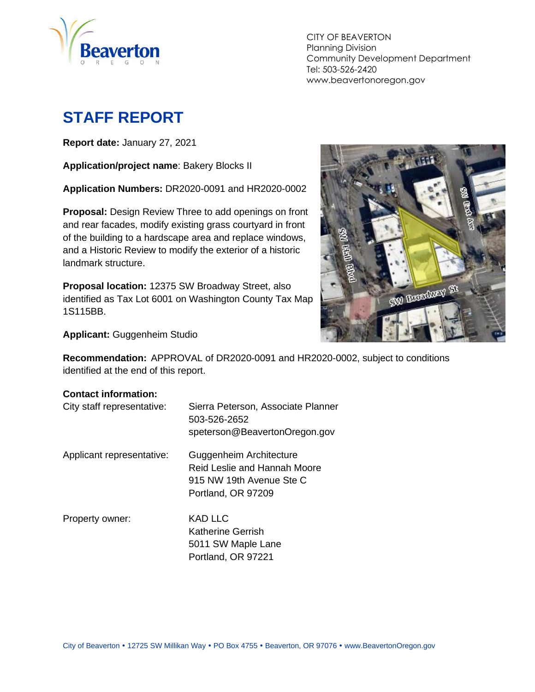

CITY OF BEAVERTON Planning Division Community Development Department Tel: 503-526-2420 www.beavertonoregon.gov

# <span id="page-0-0"></span>**STAFF REPORT**

**Report date:** January 27, 2021

**Application/project name**: Bakery Blocks II

**Application Numbers:** DR2020-0091 and HR2020-0002

**Proposal:** Design Review Three to add openings on front and rear facades, modify existing grass courtyard in front of the building to a hardscape area and replace windows, and a Historic Review to modify the exterior of a historic landmark structure.

**Proposal location:** 12375 SW Broadway Street, also identified as Tax Lot 6001 on Washington County Tax Map 1S115BB.



**Applicant:** Guggenheim Studio

**Recommendation:** APPROVAL of DR2020-0091 and HR2020-0002, subject to conditions identified at the end of this report.

#### **Contact information:**

| City staff representative: | Sierra Peterson, Associate Planner<br>503-526-2652<br>speterson@BeavertonOregon.gov |
|----------------------------|-------------------------------------------------------------------------------------|
| Applicant representative:  | Guggenheim Architecture<br>Reid Leslie and Hannah Moore                             |

slie and Hannah Moore 915 NW 19th Avenue Ste C Portland, OR 97209

Property owner: KAD LLC

Katherine Gerrish 5011 SW Maple Lane Portland, OR 97221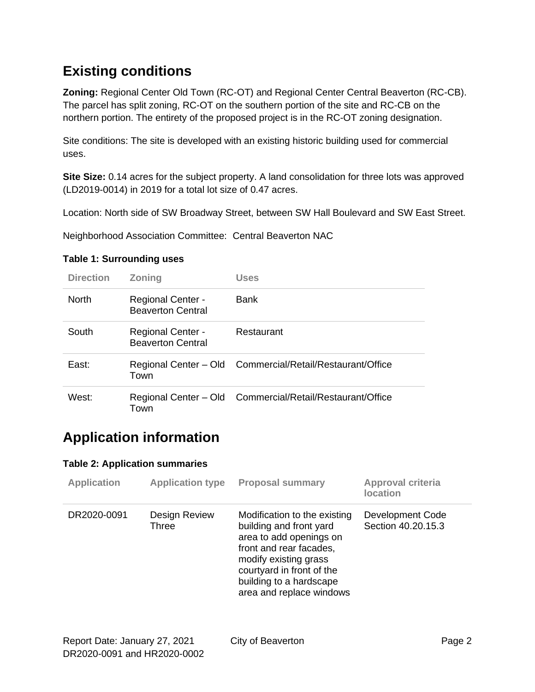## **Existing conditions**

**Zoning:** Regional Center Old Town (RC-OT) and Regional Center Central Beaverton (RC-CB). The parcel has split zoning, RC-OT on the southern portion of the site and RC-CB on the northern portion. The entirety of the proposed project is in the RC-OT zoning designation.

Site conditions: The site is developed with an existing historic building used for commercial uses.

**Site Size:** 0.14 acres for the subject property. A land consolidation for three lots was approved (LD2019-0014) in 2019 for a total lot size of 0.47 acres.

Location: North side of SW Broadway Street, between SW Hall Boulevard and SW East Street.

Neighborhood Association Committee: Central Beaverton NAC

| <b>Direction</b> | <b>Zoning</b>                                        | Uses                                                      |
|------------------|------------------------------------------------------|-----------------------------------------------------------|
| <b>North</b>     | <b>Regional Center -</b><br><b>Beaverton Central</b> | Bank                                                      |
| South            | <b>Regional Center -</b><br><b>Beaverton Central</b> | Restaurant                                                |
| East:            | Town                                                 | Regional Center - Old Commercial/Retail/Restaurant/Office |
| West:            | Town                                                 | Regional Center - Old Commercial/Retail/Restaurant/Office |

#### **Table 1: Surrounding uses**

## **Application information**

#### **Table 2: Application summaries**

| <b>Application</b> | <b>Application type</b> | <b>Proposal summary</b>                                                                                                                                                                                                    | Approval criteria<br><b>location</b>          |
|--------------------|-------------------------|----------------------------------------------------------------------------------------------------------------------------------------------------------------------------------------------------------------------------|-----------------------------------------------|
| DR2020-0091        | Design Review<br>Three  | Modification to the existing<br>building and front yard<br>area to add openings on<br>front and rear facades,<br>modify existing grass<br>courtyard in front of the<br>building to a hardscape<br>area and replace windows | <b>Development Code</b><br>Section 40.20.15.3 |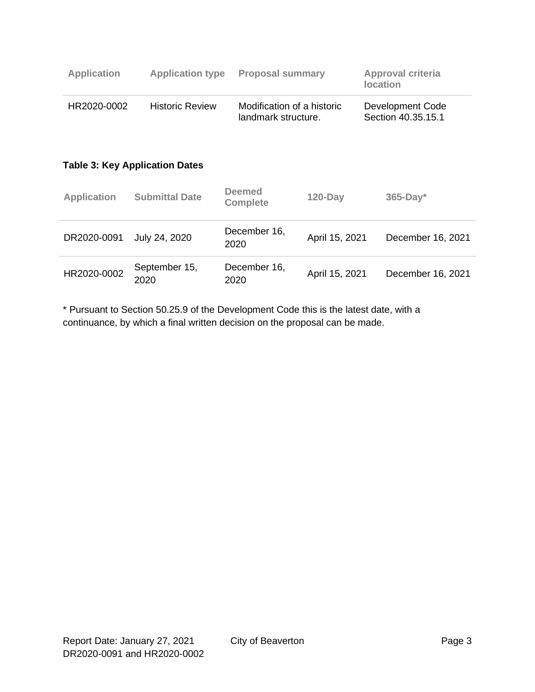| <b>Application</b> | <b>Application type</b>               | <b>Proposal summary</b>                           |                | <b>Approval criteria</b><br><b>location</b> |  |
|--------------------|---------------------------------------|---------------------------------------------------|----------------|---------------------------------------------|--|
| HR2020-0002        | <b>Historic Review</b>                | Modification of a historic<br>landmark structure. |                | Development Code<br>Section 40.35.15.1      |  |
|                    | <b>Table 3: Key Application Dates</b> |                                                   |                |                                             |  |
| <b>Application</b> | <b>Submittal Date</b>                 | <b>Deemed</b><br><b>Complete</b>                  | $120$ -Day     | $365$ -Day*                                 |  |
| DR2020-0091        | July 24, 2020                         | December 16,<br>2020                              | April 15, 2021 | December 16, 2021                           |  |
| HR2020-0002        | September 15,<br>2020                 | December 16,<br>2020                              | April 15, 2021 | December 16, 2021                           |  |

\* Pursuant to Section 50.25.9 of the Development Code this is the latest date, with a continuance, by which a final written decision on the proposal can be made.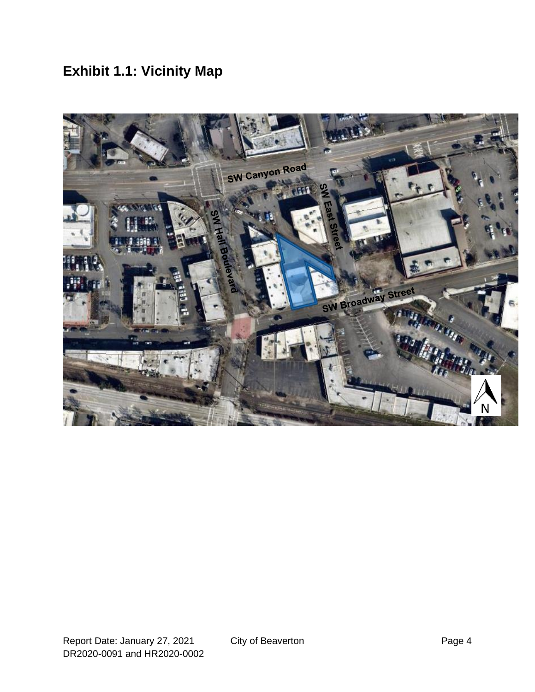# **Exhibit 1.1: Vicinity Map**

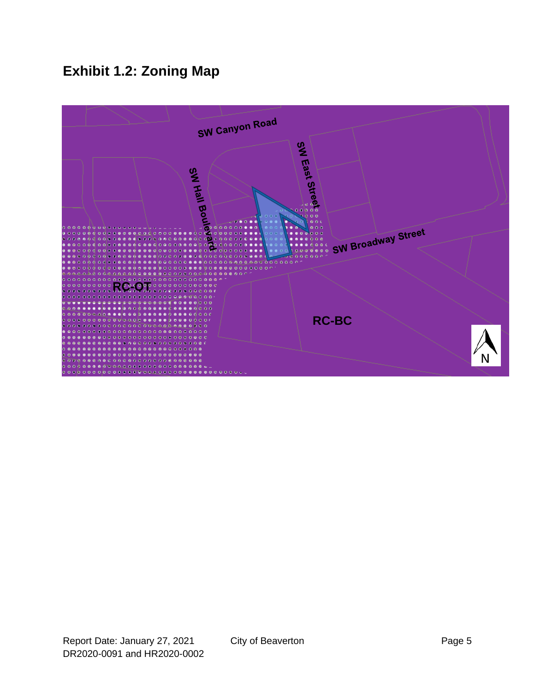# **Exhibit 1.2: Zoning Map**

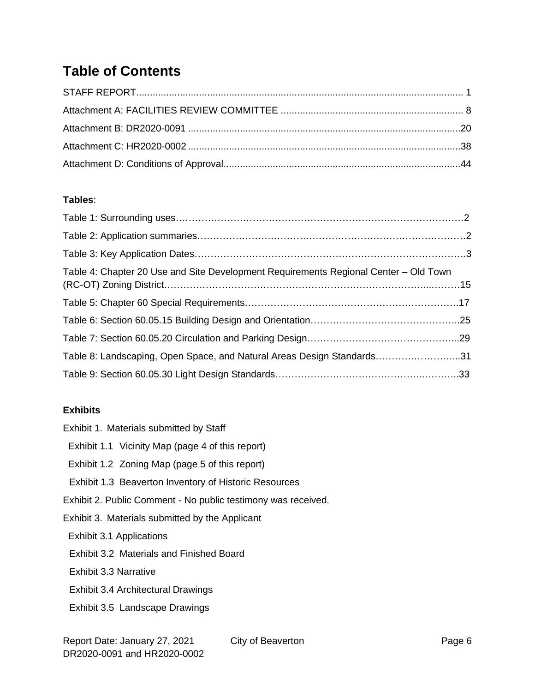## **Table of Contents**

#### **Tables**:

| Table 8: Landscaping, Open Space, and Natural Areas Design Standards31 |
|------------------------------------------------------------------------|
|                                                                        |
|                                                                        |

#### **Exhibits**

| Exhibit 1. Materials submitted by Staff                       |
|---------------------------------------------------------------|
| Exhibit 1.1 Vicinity Map (page 4 of this report)              |
| Exhibit 1.2 Zoning Map (page 5 of this report)                |
| Exhibit 1.3 Beaverton Inventory of Historic Resources         |
| Exhibit 2. Public Comment - No public testimony was received. |
| Exhibit 3. Materials submitted by the Applicant               |
| Exhibit 3.1 Applications                                      |
| <b>Exhibit 3.2 Materials and Finished Board</b>               |
| Exhibit 3.3 Narrative                                         |
| Exhibit 3.4 Architectural Drawings                            |
| Exhibit 3.5 Landscape Drawings                                |
|                                                               |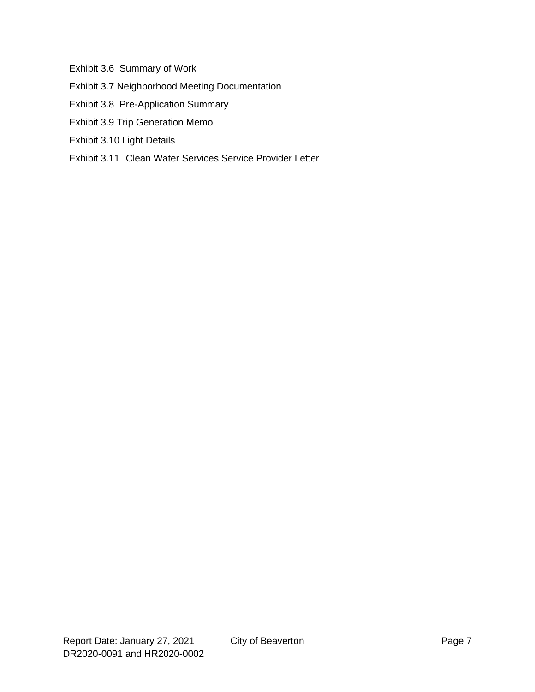Exhibit 3.6 Summary of Work

- Exhibit 3.7 Neighborhood Meeting Documentation
- Exhibit 3.8 Pre-Application Summary
- Exhibit 3.9 Trip Generation Memo
- Exhibit 3.10 Light Details
- Exhibit 3.11 Clean Water Services Service Provider Letter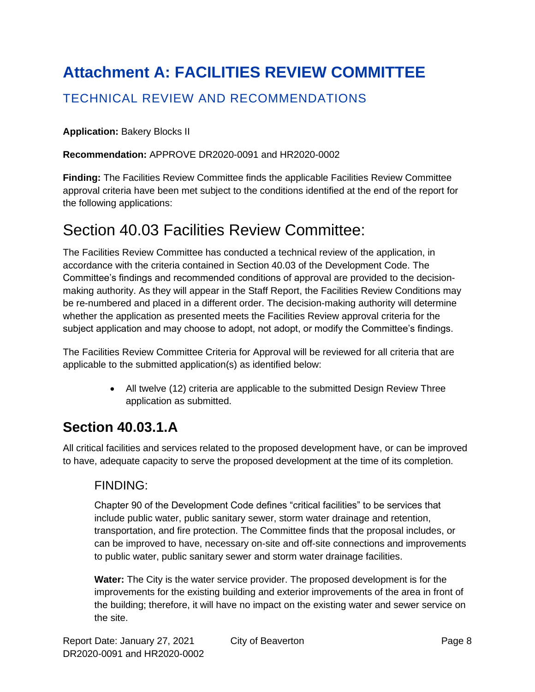# <span id="page-7-0"></span>**Attachment A: FACILITIES REVIEW COMMITTEE**

#### TECHNICAL REVIEW AND RECOMMENDATIONS

**Application:** Bakery Blocks II

**Recommendation:** APPROVE DR2020-0091 and HR2020-0002

**Finding:** The Facilities Review Committee finds the applicable Facilities Review Committee approval criteria have been met subject to the conditions identified at the end of the report for the following applications:

## Section 40.03 Facilities Review Committee:

The Facilities Review Committee has conducted a technical review of the application, in accordance with the criteria contained in Section 40.03 of the Development Code. The Committee's findings and recommended conditions of approval are provided to the decisionmaking authority. As they will appear in the Staff Report, the Facilities Review Conditions may be re-numbered and placed in a different order. The decision-making authority will determine whether the application as presented meets the Facilities Review approval criteria for the subject application and may choose to adopt, not adopt, or modify the Committee's findings.

The Facilities Review Committee Criteria for Approval will be reviewed for all criteria that are applicable to the submitted application(s) as identified below:

> • All twelve (12) criteria are applicable to the submitted Design Review Three application as submitted.

## **Section 40.03.1.A**

All critical facilities and services related to the proposed development have, or can be improved to have, adequate capacity to serve the proposed development at the time of its completion.

#### FINDING:

Chapter 90 of the Development Code defines "critical facilities" to be services that include public water, public sanitary sewer, storm water drainage and retention, transportation, and fire protection. The Committee finds that the proposal includes, or can be improved to have, necessary on-site and off-site connections and improvements to public water, public sanitary sewer and storm water drainage facilities.

**Water:** The City is the water service provider. The proposed development is for the improvements for the existing building and exterior improvements of the area in front of the building; therefore, it will have no impact on the existing water and sewer service on the site.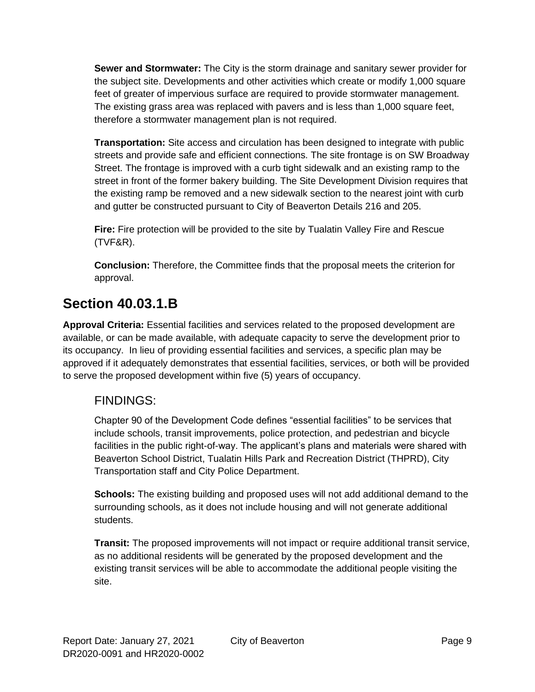**Sewer and Stormwater:** The City is the storm drainage and sanitary sewer provider for the subject site. Developments and other activities which create or modify 1,000 square feet of greater of impervious surface are required to provide stormwater management. The existing grass area was replaced with pavers and is less than 1,000 square feet, therefore a stormwater management plan is not required.

**Transportation:** Site access and circulation has been designed to integrate with public streets and provide safe and efficient connections. The site frontage is on SW Broadway Street. The frontage is improved with a curb tight sidewalk and an existing ramp to the street in front of the former bakery building. The Site Development Division requires that the existing ramp be removed and a new sidewalk section to the nearest joint with curb and gutter be constructed pursuant to City of Beaverton Details 216 and 205.

**Fire:** Fire protection will be provided to the site by Tualatin Valley Fire and Rescue (TVF&R).

**Conclusion:** Therefore, the Committee finds that the proposal meets the criterion for approval.

## **Section 40.03.1.B**

**Approval Criteria:** Essential facilities and services related to the proposed development are available, or can be made available, with adequate capacity to serve the development prior to its occupancy. In lieu of providing essential facilities and services, a specific plan may be approved if it adequately demonstrates that essential facilities, services, or both will be provided to serve the proposed development within five (5) years of occupancy.

#### FINDINGS:

Chapter 90 of the Development Code defines "essential facilities" to be services that include schools, transit improvements, police protection, and pedestrian and bicycle facilities in the public right-of-way. The applicant's plans and materials were shared with Beaverton School District, Tualatin Hills Park and Recreation District (THPRD), City Transportation staff and City Police Department.

**Schools:** The existing building and proposed uses will not add additional demand to the surrounding schools, as it does not include housing and will not generate additional students.

**Transit:** The proposed improvements will not impact or require additional transit service, as no additional residents will be generated by the proposed development and the existing transit services will be able to accommodate the additional people visiting the site.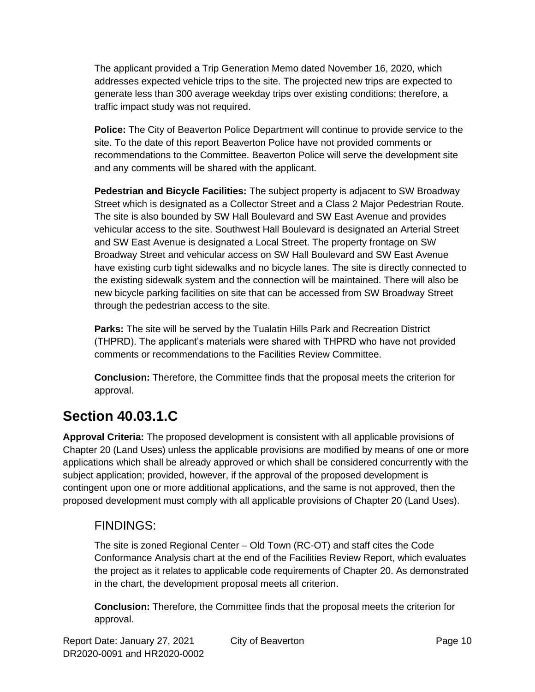The applicant provided a Trip Generation Memo dated November 16, 2020, which addresses expected vehicle trips to the site. The projected new trips are expected to generate less than 300 average weekday trips over existing conditions; therefore, a traffic impact study was not required.

**Police:** The City of Beaverton Police Department will continue to provide service to the site. To the date of this report Beaverton Police have not provided comments or recommendations to the Committee. Beaverton Police will serve the development site and any comments will be shared with the applicant.

**Pedestrian and Bicycle Facilities:** The subject property is adjacent to SW Broadway Street which is designated as a Collector Street and a Class 2 Major Pedestrian Route. The site is also bounded by SW Hall Boulevard and SW East Avenue and provides vehicular access to the site. Southwest Hall Boulevard is designated an Arterial Street and SW East Avenue is designated a Local Street. The property frontage on SW Broadway Street and vehicular access on SW Hall Boulevard and SW East Avenue have existing curb tight sidewalks and no bicycle lanes. The site is directly connected to the existing sidewalk system and the connection will be maintained. There will also be new bicycle parking facilities on site that can be accessed from SW Broadway Street through the pedestrian access to the site.

**Parks:** The site will be served by the Tualatin Hills Park and Recreation District (THPRD). The applicant's materials were shared with THPRD who have not provided comments or recommendations to the Facilities Review Committee.

**Conclusion:** Therefore, the Committee finds that the proposal meets the criterion for approval.

## **Section 40.03.1.C**

**Approval Criteria:** The proposed development is consistent with all applicable provisions of Chapter 20 (Land Uses) unless the applicable provisions are modified by means of one or more applications which shall be already approved or which shall be considered concurrently with the subject application; provided, however, if the approval of the proposed development is contingent upon one or more additional applications, and the same is not approved, then the proposed development must comply with all applicable provisions of Chapter 20 (Land Uses).

#### FINDINGS:

The site is zoned Regional Center – Old Town (RC-OT) and staff cites the Code Conformance Analysis chart at the end of the Facilities Review Report, which evaluates the project as it relates to applicable code requirements of Chapter 20. As demonstrated in the chart, the development proposal meets all criterion.

**Conclusion:** Therefore, the Committee finds that the proposal meets the criterion for approval.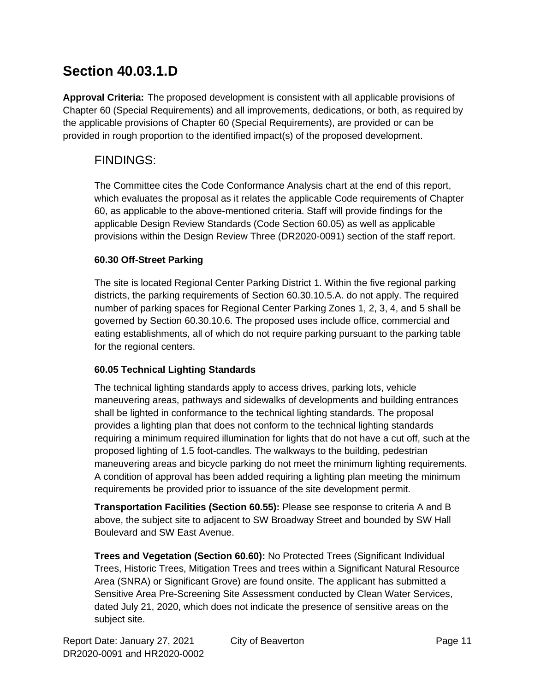## **Section 40.03.1.D**

**Approval Criteria:** The proposed development is consistent with all applicable provisions of Chapter 60 (Special Requirements) and all improvements, dedications, or both, as required by the applicable provisions of Chapter 60 (Special Requirements), are provided or can be provided in rough proportion to the identified impact(s) of the proposed development.

#### FINDINGS:

The Committee cites the Code Conformance Analysis chart at the end of this report, which evaluates the proposal as it relates the applicable Code requirements of Chapter 60, as applicable to the above-mentioned criteria. Staff will provide findings for the applicable Design Review Standards (Code Section 60.05) as well as applicable provisions within the Design Review Three (DR2020-0091) section of the staff report.

#### **60.30 Off-Street Parking**

The site is located Regional Center Parking District 1. Within the five regional parking districts, the parking requirements of Section 60.30.10.5.A. do not apply. The required number of parking spaces for Regional Center Parking Zones 1, 2, 3, 4, and 5 shall be governed by Section 60.30.10.6. The proposed uses include office, commercial and eating establishments, all of which do not require parking pursuant to the parking table for the regional centers.

#### **60.05 Technical Lighting Standards**

The technical lighting standards apply to access drives, parking lots, vehicle maneuvering areas, pathways and sidewalks of developments and building entrances shall be lighted in conformance to the technical lighting standards. The proposal provides a lighting plan that does not conform to the technical lighting standards requiring a minimum required illumination for lights that do not have a cut off, such at the proposed lighting of 1.5 foot-candles. The walkways to the building, pedestrian maneuvering areas and bicycle parking do not meet the minimum lighting requirements. A condition of approval has been added requiring a lighting plan meeting the minimum requirements be provided prior to issuance of the site development permit.

**Transportation Facilities (Section 60.55):** Please see response to criteria A and B above, the subject site to adjacent to SW Broadway Street and bounded by SW Hall Boulevard and SW East Avenue.

**Trees and Vegetation (Section 60.60):** No Protected Trees (Significant Individual Trees, Historic Trees, Mitigation Trees and trees within a Significant Natural Resource Area (SNRA) or Significant Grove) are found onsite. The applicant has submitted a Sensitive Area Pre-Screening Site Assessment conducted by Clean Water Services, dated July 21, 2020, which does not indicate the presence of sensitive areas on the subject site.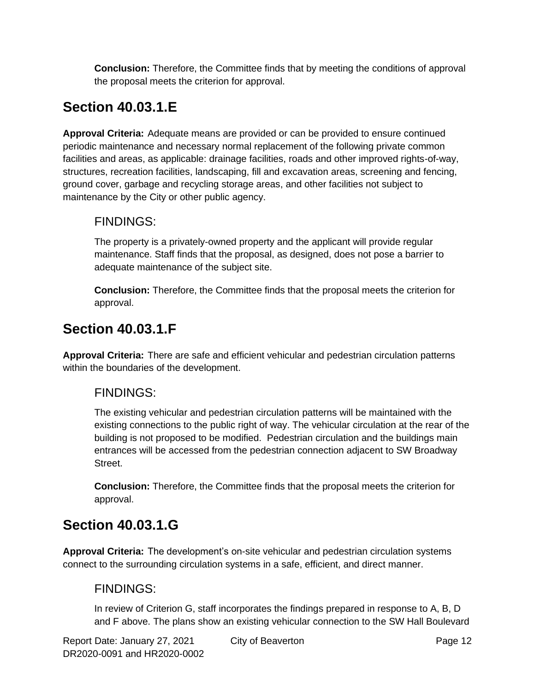**Conclusion:** Therefore, the Committee finds that by meeting the conditions of approval the proposal meets the criterion for approval.

# **Section 40.03.1.E**

**Approval Criteria:** Adequate means are provided or can be provided to ensure continued periodic maintenance and necessary normal replacement of the following private common facilities and areas, as applicable: drainage facilities, roads and other improved rights-of-way, structures, recreation facilities, landscaping, fill and excavation areas, screening and fencing, ground cover, garbage and recycling storage areas, and other facilities not subject to maintenance by the City or other public agency.

#### FINDINGS:

The property is a privately-owned property and the applicant will provide regular maintenance. Staff finds that the proposal, as designed, does not pose a barrier to adequate maintenance of the subject site.

**Conclusion:** Therefore, the Committee finds that the proposal meets the criterion for approval.

## **Section 40.03.1.F**

**Approval Criteria:** There are safe and efficient vehicular and pedestrian circulation patterns within the boundaries of the development.

#### FINDINGS:

The existing vehicular and pedestrian circulation patterns will be maintained with the existing connections to the public right of way. The vehicular circulation at the rear of the building is not proposed to be modified. Pedestrian circulation and the buildings main entrances will be accessed from the pedestrian connection adjacent to SW Broadway Street.

**Conclusion:** Therefore, the Committee finds that the proposal meets the criterion for approval.

# **Section 40.03.1.G**

**Approval Criteria:** The development's on-site vehicular and pedestrian circulation systems connect to the surrounding circulation systems in a safe, efficient, and direct manner.

#### FINDINGS:

In review of Criterion G, staff incorporates the findings prepared in response to A, B, D and F above. The plans show an existing vehicular connection to the SW Hall Boulevard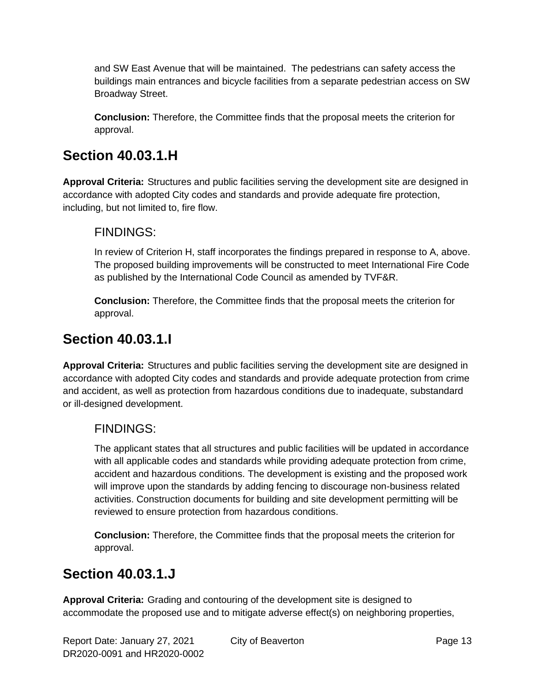and SW East Avenue that will be maintained. The pedestrians can safety access the buildings main entrances and bicycle facilities from a separate pedestrian access on SW Broadway Street.

**Conclusion:** Therefore, the Committee finds that the proposal meets the criterion for approval.

## **Section 40.03.1.H**

**Approval Criteria:** Structures and public facilities serving the development site are designed in accordance with adopted City codes and standards and provide adequate fire protection, including, but not limited to, fire flow.

#### FINDINGS:

In review of Criterion H, staff incorporates the findings prepared in response to A, above. The proposed building improvements will be constructed to meet International Fire Code as published by the International Code Council as amended by TVF&R.

**Conclusion:** Therefore, the Committee finds that the proposal meets the criterion for approval.

## **Section 40.03.1.I**

**Approval Criteria:** Structures and public facilities serving the development site are designed in accordance with adopted City codes and standards and provide adequate protection from crime and accident, as well as protection from hazardous conditions due to inadequate, substandard or ill-designed development.

#### FINDINGS:

The applicant states that all structures and public facilities will be updated in accordance with all applicable codes and standards while providing adequate protection from crime, accident and hazardous conditions. The development is existing and the proposed work will improve upon the standards by adding fencing to discourage non-business related activities. Construction documents for building and site development permitting will be reviewed to ensure protection from hazardous conditions.

**Conclusion:** Therefore, the Committee finds that the proposal meets the criterion for approval.

## **Section 40.03.1.J**

**Approval Criteria:** Grading and contouring of the development site is designed to accommodate the proposed use and to mitigate adverse effect(s) on neighboring properties,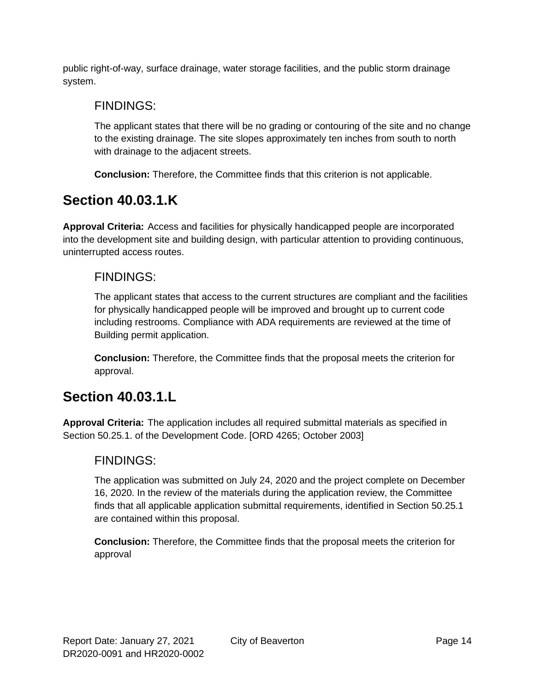public right-of-way, surface drainage, water storage facilities, and the public storm drainage system.

#### FINDINGS:

The applicant states that there will be no grading or contouring of the site and no change to the existing drainage. The site slopes approximately ten inches from south to north with drainage to the adjacent streets.

**Conclusion:** Therefore, the Committee finds that this criterion is not applicable.

## **Section 40.03.1.K**

**Approval Criteria:** Access and facilities for physically handicapped people are incorporated into the development site and building design, with particular attention to providing continuous, uninterrupted access routes.

#### FINDINGS:

The applicant states that access to the current structures are compliant and the facilities for physically handicapped people will be improved and brought up to current code including restrooms. Compliance with ADA requirements are reviewed at the time of Building permit application.

**Conclusion:** Therefore, the Committee finds that the proposal meets the criterion for approval.

## **Section 40.03.1.L**

**Approval Criteria:** The application includes all required submittal materials as specified in Section 50.25.1. of the Development Code. [ORD 4265; October 2003]

#### FINDINGS:

The application was submitted on July 24, 2020 and the project complete on December 16, 2020. In the review of the materials during the application review, the Committee finds that all applicable application submittal requirements, identified in Section 50.25.1 are contained within this proposal.

**Conclusion:** Therefore, the Committee finds that the proposal meets the criterion for approval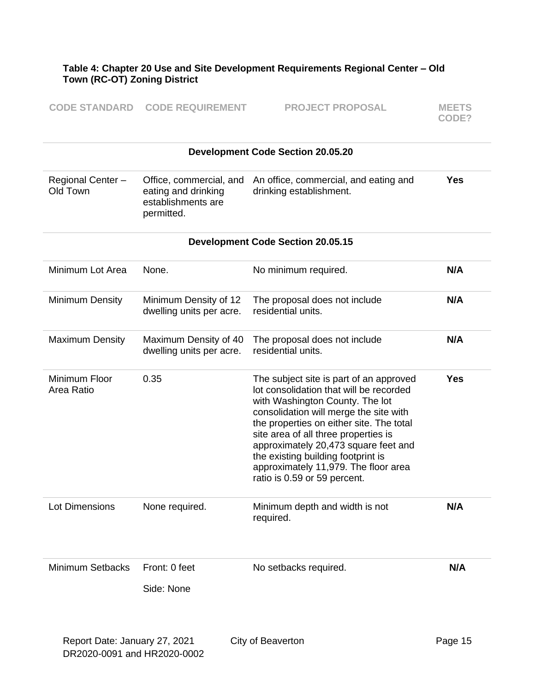#### **Table 4: Chapter 20 Use and Site Development Requirements Regional Center – Old Town (RC-OT) Zoning District**

| <b>CODE STANDARD CODE REQUIREMENT</b> | <b>PROJECT PROPOSAL</b> | <b>MEETS</b> |
|---------------------------------------|-------------------------|--------------|
|                                       |                         | CODE?        |

|                               |                                                                                    | <b>Development Code Section 20.05.20</b>                                                                                                                                                                                                                                                                                                                                                                  |            |
|-------------------------------|------------------------------------------------------------------------------------|-----------------------------------------------------------------------------------------------------------------------------------------------------------------------------------------------------------------------------------------------------------------------------------------------------------------------------------------------------------------------------------------------------------|------------|
| Regional Center -<br>Old Town | Office, commercial, and<br>eating and drinking<br>establishments are<br>permitted. | An office, commercial, and eating and<br>drinking establishment.                                                                                                                                                                                                                                                                                                                                          | <b>Yes</b> |
|                               |                                                                                    | <b>Development Code Section 20.05.15</b>                                                                                                                                                                                                                                                                                                                                                                  |            |
| Minimum Lot Area              | None.                                                                              | No minimum required.                                                                                                                                                                                                                                                                                                                                                                                      | N/A        |
| <b>Minimum Density</b>        | Minimum Density of 12<br>dwelling units per acre.                                  | The proposal does not include<br>residential units.                                                                                                                                                                                                                                                                                                                                                       | N/A        |
| <b>Maximum Density</b>        | Maximum Density of 40<br>dwelling units per acre.                                  | The proposal does not include<br>residential units.                                                                                                                                                                                                                                                                                                                                                       | N/A        |
| Minimum Floor<br>Area Ratio   | 0.35                                                                               | The subject site is part of an approved<br>lot consolidation that will be recorded<br>with Washington County. The lot<br>consolidation will merge the site with<br>the properties on either site. The total<br>site area of all three properties is<br>approximately 20,473 square feet and<br>the existing building footprint is<br>approximately 11,979. The floor area<br>ratio is 0.59 or 59 percent. | <b>Yes</b> |
| <b>Lot Dimensions</b>         | None required.                                                                     | Minimum depth and width is not<br>required.                                                                                                                                                                                                                                                                                                                                                               | N/A        |
| <b>Minimum Setbacks</b>       | Front: 0 feet<br>Side: None                                                        | No setbacks required.                                                                                                                                                                                                                                                                                                                                                                                     | N/A        |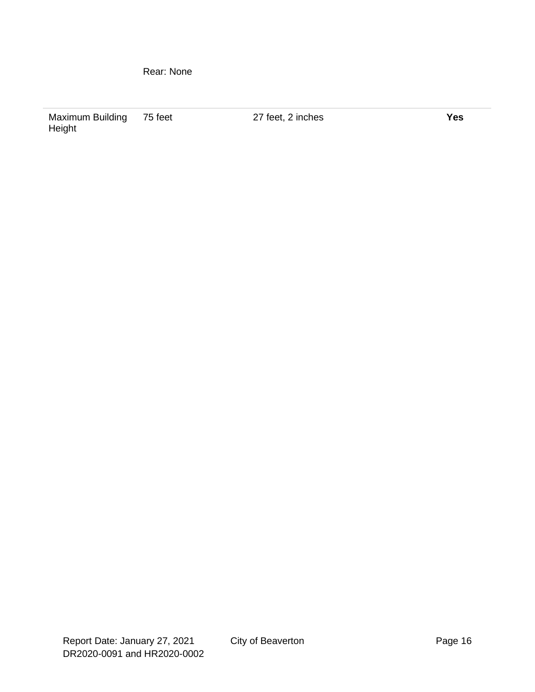Rear: None

Maximum Building Height

75 feet 27 feet, 2 inches **Yes**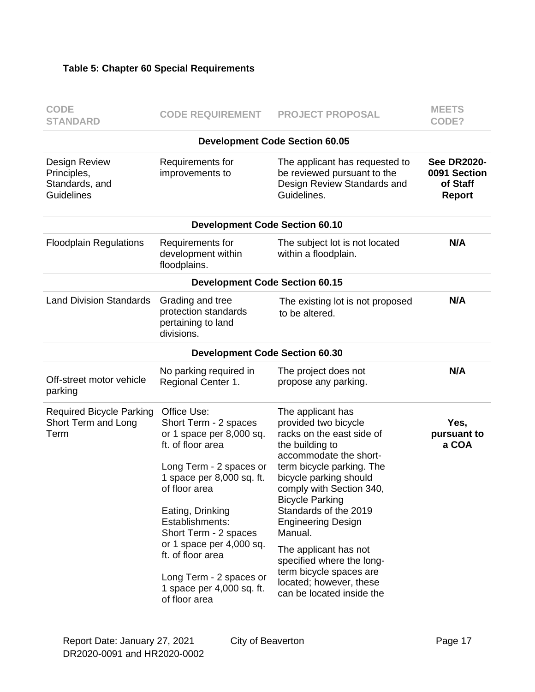#### **Table 5: Chapter 60 Special Requirements**

| <b>CODE</b><br><b>STANDARD</b>                                      | <b>CODE REQUIREMENT</b>                                                                                                                                                                                                                                                                                                                                  | <b>PROJECT PROPOSAL</b>                                                                                                                                                                                                                                                                                                                                                                                                                    | <b>MEETS</b><br>CODE?                                           |
|---------------------------------------------------------------------|----------------------------------------------------------------------------------------------------------------------------------------------------------------------------------------------------------------------------------------------------------------------------------------------------------------------------------------------------------|--------------------------------------------------------------------------------------------------------------------------------------------------------------------------------------------------------------------------------------------------------------------------------------------------------------------------------------------------------------------------------------------------------------------------------------------|-----------------------------------------------------------------|
|                                                                     |                                                                                                                                                                                                                                                                                                                                                          | <b>Development Code Section 60.05</b>                                                                                                                                                                                                                                                                                                                                                                                                      |                                                                 |
| Design Review<br>Principles,<br>Standards, and<br><b>Guidelines</b> | Requirements for<br>improvements to                                                                                                                                                                                                                                                                                                                      | The applicant has requested to<br>be reviewed pursuant to the<br>Design Review Standards and<br>Guidelines.                                                                                                                                                                                                                                                                                                                                | <b>See DR2020-</b><br>0091 Section<br>of Staff<br><b>Report</b> |
|                                                                     | <b>Development Code Section 60.10</b>                                                                                                                                                                                                                                                                                                                    |                                                                                                                                                                                                                                                                                                                                                                                                                                            |                                                                 |
| <b>Floodplain Regulations</b>                                       | Requirements for<br>development within<br>floodplains.                                                                                                                                                                                                                                                                                                   | The subject lot is not located<br>within a floodplain.                                                                                                                                                                                                                                                                                                                                                                                     | N/A                                                             |
|                                                                     | <b>Development Code Section 60.15</b>                                                                                                                                                                                                                                                                                                                    |                                                                                                                                                                                                                                                                                                                                                                                                                                            |                                                                 |
| <b>Land Division Standards</b>                                      | Grading and tree<br>protection standards<br>pertaining to land<br>divisions.                                                                                                                                                                                                                                                                             | The existing lot is not proposed<br>to be altered.                                                                                                                                                                                                                                                                                                                                                                                         | N/A                                                             |
|                                                                     | <b>Development Code Section 60.30</b>                                                                                                                                                                                                                                                                                                                    |                                                                                                                                                                                                                                                                                                                                                                                                                                            |                                                                 |
| Off-street motor vehicle<br>parking                                 | No parking required in<br>Regional Center 1.                                                                                                                                                                                                                                                                                                             | The project does not<br>propose any parking.                                                                                                                                                                                                                                                                                                                                                                                               | N/A                                                             |
| <b>Required Bicycle Parking</b><br>Short Term and Long<br>Term      | Office Use:<br>Short Term - 2 spaces<br>or 1 space per 8,000 sq.<br>ft. of floor area<br>Long Term - 2 spaces or<br>1 space per 8,000 sq. ft.<br>of floor area<br>Eating, Drinking<br>Establishments:<br>Short Term - 2 spaces<br>or 1 space per 4,000 sq.<br>ft. of floor area<br>Long Term - 2 spaces or<br>1 space per 4,000 sq. ft.<br>of floor area | The applicant has<br>provided two bicycle<br>racks on the east side of<br>the building to<br>accommodate the short-<br>term bicycle parking. The<br>bicycle parking should<br>comply with Section 340,<br><b>Bicycle Parking</b><br>Standards of the 2019<br><b>Engineering Design</b><br>Manual.<br>The applicant has not<br>specified where the long-<br>term bicycle spaces are<br>located; however, these<br>can be located inside the | Yes,<br>pursuant to<br>a COA                                    |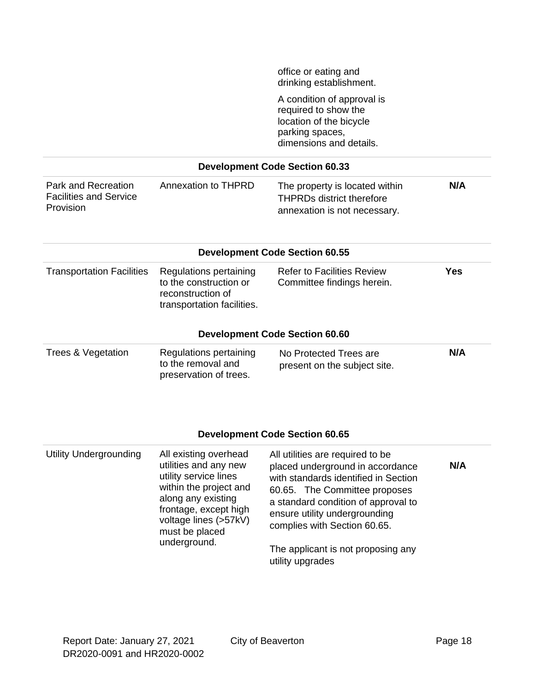office or eating and drinking establishment.

A condition of approval is required to show the location of the bicycle parking spaces, dimensions and details.

#### **Development Code Section 60.33**

| Park and Recreation           | Annexation to THPRD | The property is located within   | N/A |
|-------------------------------|---------------------|----------------------------------|-----|
| <b>Facilities and Service</b> |                     | <b>THPRDs district therefore</b> |     |
| Provision                     |                     | annexation is not necessary.     |     |

| <b>Development Code Section 60.55</b> |                                                                                                     |                                                                 |     |  |
|---------------------------------------|-----------------------------------------------------------------------------------------------------|-----------------------------------------------------------------|-----|--|
| <b>Transportation Facilities</b>      | Regulations pertaining<br>to the construction or<br>reconstruction of<br>transportation facilities. | <b>Refer to Facilities Review</b><br>Committee findings herein. | Yes |  |
|                                       |                                                                                                     | <b>Development Code Section 60.60</b>                           |     |  |

| Trees & Vegetation | Regulations pertaining | No Protected Trees are       | N/A |
|--------------------|------------------------|------------------------------|-----|
|                    | to the removal and     | present on the subject site. |     |
|                    | preservation of trees. |                              |     |

#### **Development Code Section 60.65**

| Utility Undergrounding | All existing overhead<br>utilities and any new<br>utility service lines<br>within the project and<br>along any existing<br>frontage, except high<br>voltage lines (>57kV)<br>must be placed<br>underground. | All utilities are required to be<br>placed underground in accordance<br>with standards identified in Section<br>60.65. The Committee proposes<br>a standard condition of approval to<br>ensure utility undergrounding<br>complies with Section 60.65.<br>The applicant is not proposing any | N/A |
|------------------------|-------------------------------------------------------------------------------------------------------------------------------------------------------------------------------------------------------------|---------------------------------------------------------------------------------------------------------------------------------------------------------------------------------------------------------------------------------------------------------------------------------------------|-----|
|                        |                                                                                                                                                                                                             | utility upgrades                                                                                                                                                                                                                                                                            |     |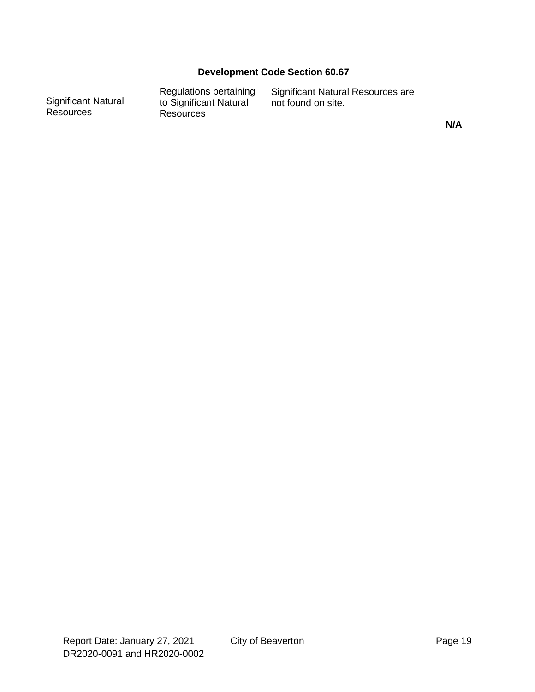**N/A**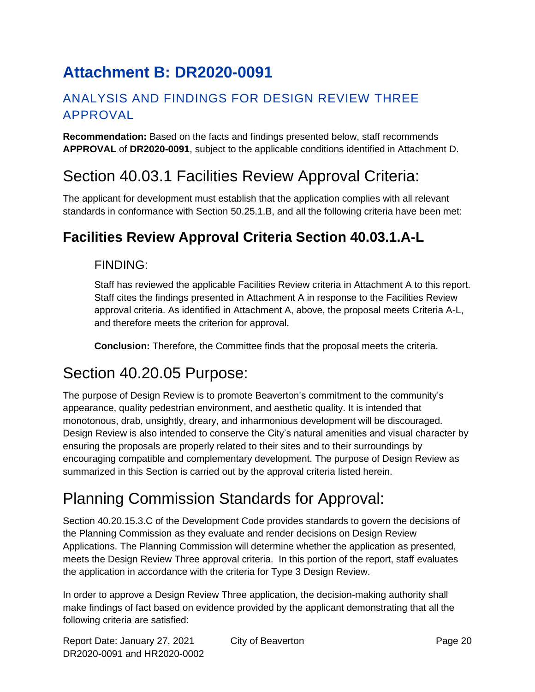# <span id="page-19-0"></span>**Attachment B: DR2020-0091**

#### ANALYSIS AND FINDINGS FOR DESIGN REVIEW THREE APPROVAL

**Recommendation:** Based on the facts and findings presented below, staff recommends **APPROVAL** of **DR2020-0091**, subject to the applicable conditions identified in Attachment D.

# Section 40.03.1 Facilities Review Approval Criteria:

The applicant for development must establish that the application complies with all relevant standards in conformance with Section 50.25.1.B, and all the following criteria have been met:

## **Facilities Review Approval Criteria Section 40.03.1.A-L**

#### FINDING:

Staff has reviewed the applicable Facilities Review criteria in Attachment A to this report. Staff cites the findings presented in Attachment A in response to the Facilities Review approval criteria. As identified in Attachment A, above, the proposal meets Criteria A-L, and therefore meets the criterion for approval.

**Conclusion:** Therefore, the Committee finds that the proposal meets the criteria.

# Section 40.20.05 Purpose:

The purpose of Design Review is to promote Beaverton's commitment to the community's appearance, quality pedestrian environment, and aesthetic quality. It is intended that monotonous, drab, unsightly, dreary, and inharmonious development will be discouraged. Design Review is also intended to conserve the City's natural amenities and visual character by ensuring the proposals are properly related to their sites and to their surroundings by encouraging compatible and complementary development. The purpose of Design Review as summarized in this Section is carried out by the approval criteria listed herein.

# Planning Commission Standards for Approval:

Section 40.20.15.3.C of the Development Code provides standards to govern the decisions of the Planning Commission as they evaluate and render decisions on Design Review Applications. The Planning Commission will determine whether the application as presented, meets the Design Review Three approval criteria. In this portion of the report, staff evaluates the application in accordance with the criteria for Type 3 Design Review.

In order to approve a Design Review Three application, the decision-making authority shall make findings of fact based on evidence provided by the applicant demonstrating that all the following criteria are satisfied: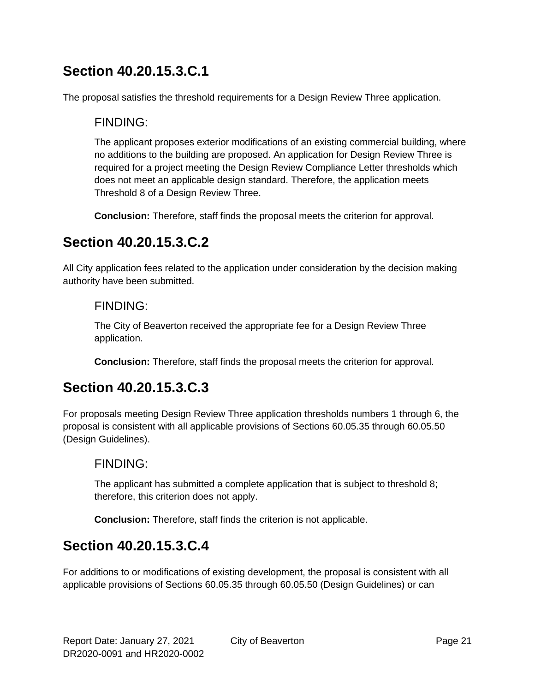## **Section 40.20.15.3.C.1**

The proposal satisfies the threshold requirements for a Design Review Three application.

#### FINDING:

The applicant proposes exterior modifications of an existing commercial building, where no additions to the building are proposed. An application for Design Review Three is required for a project meeting the Design Review Compliance Letter thresholds which does not meet an applicable design standard. Therefore, the application meets Threshold 8 of a Design Review Three.

**Conclusion:** Therefore, staff finds the proposal meets the criterion for approval.

## **Section 40.20.15.3.C.2**

All City application fees related to the application under consideration by the decision making authority have been submitted.

#### FINDING:

The City of Beaverton received the appropriate fee for a Design Review Three application.

**Conclusion:** Therefore, staff finds the proposal meets the criterion for approval.

## **Section 40.20.15.3.C.3**

For proposals meeting Design Review Three application thresholds numbers 1 through 6, the proposal is consistent with all applicable provisions of Sections 60.05.35 through 60.05.50 (Design Guidelines).

#### FINDING:

The applicant has submitted a complete application that is subject to threshold 8; therefore, this criterion does not apply.

**Conclusion:** Therefore, staff finds the criterion is not applicable.

## **Section 40.20.15.3.C.4**

For additions to or modifications of existing development, the proposal is consistent with all applicable provisions of Sections 60.05.35 through 60.05.50 (Design Guidelines) or can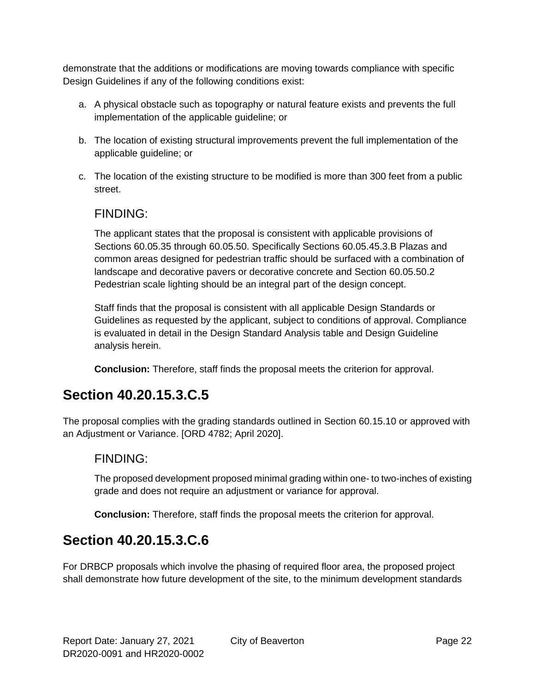demonstrate that the additions or modifications are moving towards compliance with specific Design Guidelines if any of the following conditions exist:

- a. A physical obstacle such as topography or natural feature exists and prevents the full implementation of the applicable guideline; or
- b. The location of existing structural improvements prevent the full implementation of the applicable guideline; or
- c. The location of the existing structure to be modified is more than 300 feet from a public street.

#### FINDING:

The applicant states that the proposal is consistent with applicable provisions of Sections 60.05.35 through 60.05.50. Specifically Sections 60.05.45.3.B Plazas and common areas designed for pedestrian traffic should be surfaced with a combination of landscape and decorative pavers or decorative concrete and Section 60.05.50.2 Pedestrian scale lighting should be an integral part of the design concept.

Staff finds that the proposal is consistent with all applicable Design Standards or Guidelines as requested by the applicant, subject to conditions of approval. Compliance is evaluated in detail in the Design Standard Analysis table and Design Guideline analysis herein.

**Conclusion:** Therefore, staff finds the proposal meets the criterion for approval.

## **Section 40.20.15.3.C.5**

The proposal complies with the grading standards outlined in Section 60.15.10 or approved with an Adjustment or Variance. [ORD 4782; April 2020].

#### FINDING:

The proposed development proposed minimal grading within one- to two-inches of existing grade and does not require an adjustment or variance for approval.

**Conclusion:** Therefore, staff finds the proposal meets the criterion for approval.

## **Section 40.20.15.3.C.6**

For DRBCP proposals which involve the phasing of required floor area, the proposed project shall demonstrate how future development of the site, to the minimum development standards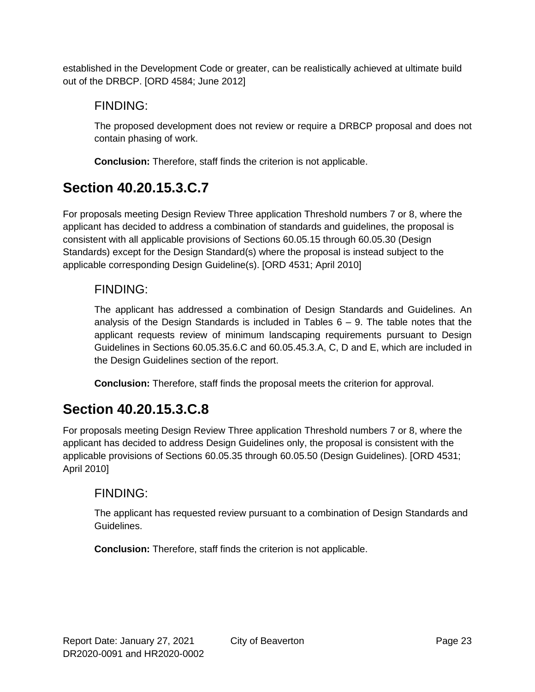established in the Development Code or greater, can be realistically achieved at ultimate build out of the DRBCP. [ORD 4584; June 2012]

#### FINDING:

The proposed development does not review or require a DRBCP proposal and does not contain phasing of work.

**Conclusion:** Therefore, staff finds the criterion is not applicable.

## **Section 40.20.15.3.C.7**

For proposals meeting Design Review Three application Threshold numbers 7 or 8, where the applicant has decided to address a combination of standards and guidelines, the proposal is consistent with all applicable provisions of Sections 60.05.15 through 60.05.30 (Design Standards) except for the Design Standard(s) where the proposal is instead subject to the applicable corresponding Design Guideline(s). [ORD 4531; April 2010]

#### FINDING:

The applicant has addressed a combination of Design Standards and Guidelines. An analysis of the Design Standards is included in Tables  $6 - 9$ . The table notes that the applicant requests review of minimum landscaping requirements pursuant to Design Guidelines in Sections 60.05.35.6.C and 60.05.45.3.A, C, D and E, which are included in the Design Guidelines section of the report.

**Conclusion:** Therefore, staff finds the proposal meets the criterion for approval.

## **Section 40.20.15.3.C.8**

For proposals meeting Design Review Three application Threshold numbers 7 or 8, where the applicant has decided to address Design Guidelines only, the proposal is consistent with the applicable provisions of Sections 60.05.35 through 60.05.50 (Design Guidelines). [ORD 4531; April 2010]

#### FINDING:

The applicant has requested review pursuant to a combination of Design Standards and Guidelines.

**Conclusion:** Therefore, staff finds the criterion is not applicable.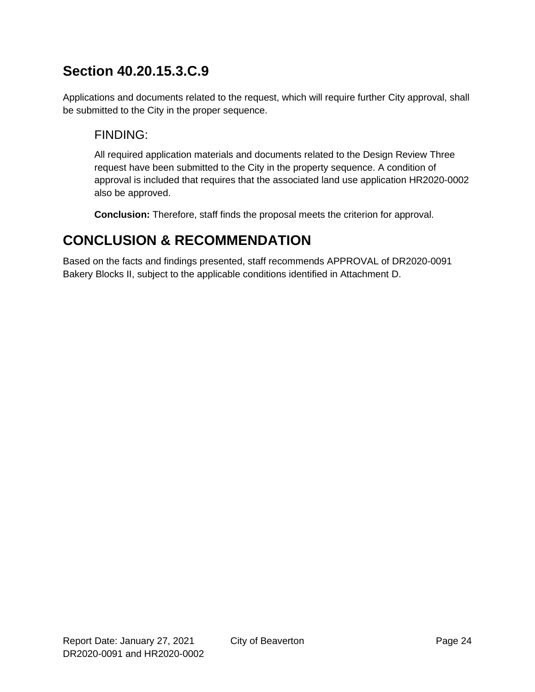## **Section 40.20.15.3.C.9**

Applications and documents related to the request, which will require further City approval, shall be submitted to the City in the proper sequence.

#### FINDING:

All required application materials and documents related to the Design Review Three request have been submitted to the City in the property sequence. A condition of approval is included that requires that the associated land use application HR2020-0002 also be approved.

**Conclusion:** Therefore, staff finds the proposal meets the criterion for approval.

## **CONCLUSION & RECOMMENDATION**

Based on the facts and findings presented, staff recommends APPROVAL of DR2020-0091 Bakery Blocks II, subject to the applicable conditions identified in Attachment D.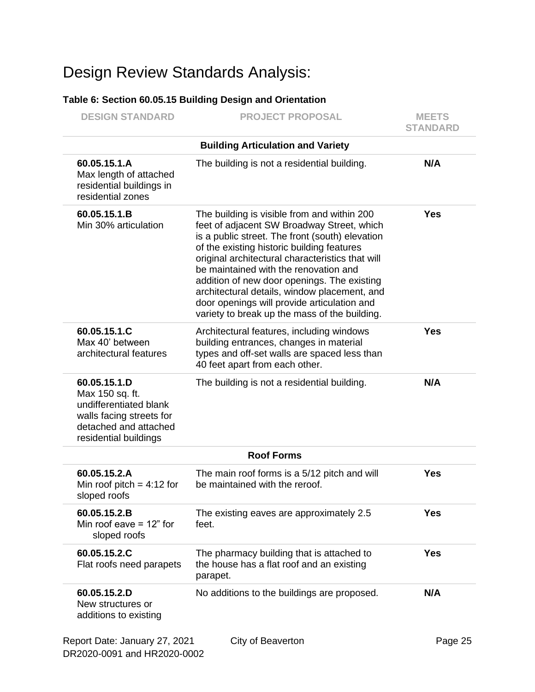# Design Review Standards Analysis:

#### **Table 6: Section 60.05.15 Building Design and Orientation**

| <b>DESIGN STANDARD</b>                                                                                                                  | <b>PROJECT PROPOSAL</b>                                                                                                                                                                                                                                                                                                                                                                                                                                                                | <b>MEETS</b><br><b>STANDARD</b> |
|-----------------------------------------------------------------------------------------------------------------------------------------|----------------------------------------------------------------------------------------------------------------------------------------------------------------------------------------------------------------------------------------------------------------------------------------------------------------------------------------------------------------------------------------------------------------------------------------------------------------------------------------|---------------------------------|
|                                                                                                                                         | <b>Building Articulation and Variety</b>                                                                                                                                                                                                                                                                                                                                                                                                                                               |                                 |
| 60.05.15.1.A<br>Max length of attached<br>residential buildings in<br>residential zones                                                 | The building is not a residential building.                                                                                                                                                                                                                                                                                                                                                                                                                                            | N/A                             |
| 60.05.15.1.B<br>Min 30% articulation                                                                                                    | The building is visible from and within 200<br>feet of adjacent SW Broadway Street, which<br>is a public street. The front (south) elevation<br>of the existing historic building features<br>original architectural characteristics that will<br>be maintained with the renovation and<br>addition of new door openings. The existing<br>architectural details, window placement, and<br>door openings will provide articulation and<br>variety to break up the mass of the building. | <b>Yes</b>                      |
| 60.05.15.1.C<br>Max 40' between<br>architectural features                                                                               | Architectural features, including windows<br>building entrances, changes in material<br>types and off-set walls are spaced less than<br>40 feet apart from each other.                                                                                                                                                                                                                                                                                                                 | <b>Yes</b>                      |
| 60.05.15.1.D<br>Max 150 sq. ft.<br>undifferentiated blank<br>walls facing streets for<br>detached and attached<br>residential buildings | The building is not a residential building.                                                                                                                                                                                                                                                                                                                                                                                                                                            | N/A                             |
|                                                                                                                                         | <b>Roof Forms</b>                                                                                                                                                                                                                                                                                                                                                                                                                                                                      |                                 |
| 60.05.15.2.A<br>Min roof pitch = $4:12$ for<br>sloped roofs                                                                             | The main roof forms is a 5/12 pitch and will<br>be maintained with the reroof.                                                                                                                                                                                                                                                                                                                                                                                                         | <b>Yes</b>                      |
| 60.05.15.2.B<br>Min roof eave $= 12$ " for<br>sloped roofs                                                                              | The existing eaves are approximately 2.5<br>feet.                                                                                                                                                                                                                                                                                                                                                                                                                                      | <b>Yes</b>                      |
| 60.05.15.2.C<br>Flat roofs need parapets                                                                                                | The pharmacy building that is attached to<br>the house has a flat roof and an existing<br>parapet.                                                                                                                                                                                                                                                                                                                                                                                     | <b>Yes</b>                      |
| 60.05.15.2.D<br>New structures or<br>additions to existing                                                                              | No additions to the buildings are proposed.                                                                                                                                                                                                                                                                                                                                                                                                                                            | N/A                             |
| Report Date: January 27, 2021                                                                                                           | City of Beaverton                                                                                                                                                                                                                                                                                                                                                                                                                                                                      | Page 25                         |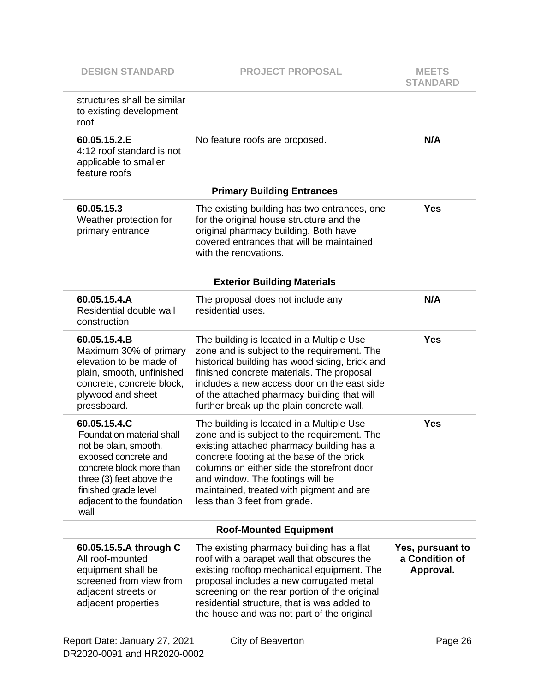| structures shall be similar<br>to existing development<br>roof                                                                                                                                                   |                                                                                                                                                                                                                                                                                                                                                  |                                                 |
|------------------------------------------------------------------------------------------------------------------------------------------------------------------------------------------------------------------|--------------------------------------------------------------------------------------------------------------------------------------------------------------------------------------------------------------------------------------------------------------------------------------------------------------------------------------------------|-------------------------------------------------|
| 60.05.15.2.E<br>4:12 roof standard is not<br>applicable to smaller<br>feature roofs                                                                                                                              | No feature roofs are proposed.                                                                                                                                                                                                                                                                                                                   | N/A                                             |
|                                                                                                                                                                                                                  | <b>Primary Building Entrances</b>                                                                                                                                                                                                                                                                                                                |                                                 |
| 60.05.15.3<br>Weather protection for<br>primary entrance                                                                                                                                                         | The existing building has two entrances, one<br>for the original house structure and the<br>original pharmacy building. Both have<br>covered entrances that will be maintained<br>with the renovations.                                                                                                                                          | <b>Yes</b>                                      |
|                                                                                                                                                                                                                  | <b>Exterior Building Materials</b>                                                                                                                                                                                                                                                                                                               |                                                 |
| 60.05.15.4.A<br>Residential double wall<br>construction                                                                                                                                                          | The proposal does not include any<br>residential uses.                                                                                                                                                                                                                                                                                           | N/A                                             |
| 60.05.15.4.B<br>Maximum 30% of primary<br>elevation to be made of<br>plain, smooth, unfinished<br>concrete, concrete block,<br>plywood and sheet<br>pressboard.                                                  | The building is located in a Multiple Use<br>zone and is subject to the requirement. The<br>historical building has wood siding, brick and<br>finished concrete materials. The proposal<br>includes a new access door on the east side<br>of the attached pharmacy building that will<br>further break up the plain concrete wall.               | <b>Yes</b>                                      |
| 60.05.15.4.C<br>Foundation material shall<br>not be plain, smooth,<br>exposed concrete and<br>concrete block more than<br>three (3) feet above the<br>finished grade level<br>adjacent to the foundation<br>wall | The building is located in a Multiple Use<br>zone and is subject to the requirement. The<br>existing attached pharmacy building has a<br>concrete footing at the base of the brick<br>columns on either side the storefront door<br>and window. The footings will be<br>maintained, treated with pigment and are<br>less than 3 feet from grade. | Yes                                             |
|                                                                                                                                                                                                                  | <b>Roof-Mounted Equipment</b>                                                                                                                                                                                                                                                                                                                    |                                                 |
| 60.05.15.5.A through C<br>All roof-mounted<br>equipment shall be<br>screened from view from<br>adjacent streets or<br>adjacent properties                                                                        | The existing pharmacy building has a flat<br>roof with a parapet wall that obscures the<br>existing rooftop mechanical equipment. The<br>proposal includes a new corrugated metal<br>screening on the rear portion of the original<br>residential structure, that is was added to<br>the house and was not part of the original                  | Yes, pursuant to<br>a Condition of<br>Approval. |
| Report Date: January 27, 2021                                                                                                                                                                                    | City of Beaverton                                                                                                                                                                                                                                                                                                                                | Page 26                                         |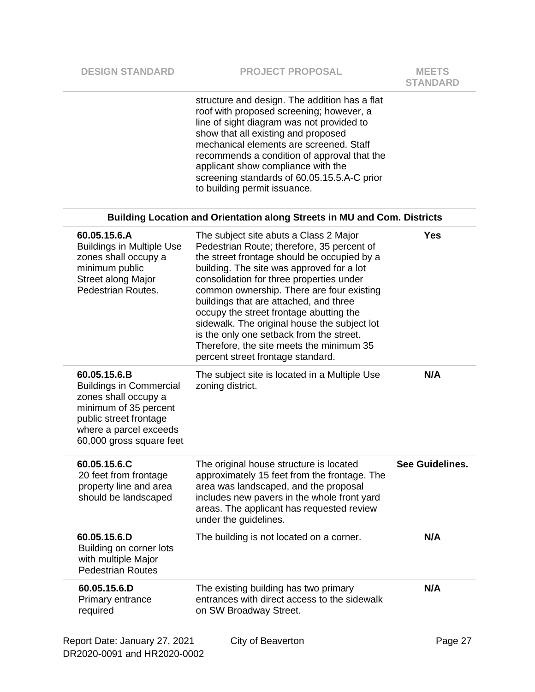|                                                                                                                                                                                 | structure and design. The addition has a flat<br>roof with proposed screening; however, a<br>line of sight diagram was not provided to<br>show that all existing and proposed<br>mechanical elements are screened. Staff<br>recommends a condition of approval that the<br>applicant show compliance with the<br>screening standards of 60.05.15.5.A-C prior<br>to building permit issuance.                                                                                                                                                |                 |
|---------------------------------------------------------------------------------------------------------------------------------------------------------------------------------|---------------------------------------------------------------------------------------------------------------------------------------------------------------------------------------------------------------------------------------------------------------------------------------------------------------------------------------------------------------------------------------------------------------------------------------------------------------------------------------------------------------------------------------------|-----------------|
|                                                                                                                                                                                 | <b>Building Location and Orientation along Streets in MU and Com. Districts</b>                                                                                                                                                                                                                                                                                                                                                                                                                                                             |                 |
| 60.05.15.6.A<br><b>Buildings in Multiple Use</b><br>zones shall occupy a<br>minimum public<br><b>Street along Major</b><br>Pedestrian Routes.                                   | The subject site abuts a Class 2 Major<br>Pedestrian Route; therefore, 35 percent of<br>the street frontage should be occupied by a<br>building. The site was approved for a lot<br>consolidation for three properties under<br>common ownership. There are four existing<br>buildings that are attached, and three<br>occupy the street frontage abutting the<br>sidewalk. The original house the subject lot<br>is the only one setback from the street.<br>Therefore, the site meets the minimum 35<br>percent street frontage standard. | <b>Yes</b>      |
| 60.05.15.6.B<br><b>Buildings in Commercial</b><br>zones shall occupy a<br>minimum of 35 percent<br>public street frontage<br>where a parcel exceeds<br>60,000 gross square feet | The subject site is located in a Multiple Use<br>zoning district.                                                                                                                                                                                                                                                                                                                                                                                                                                                                           | N/A             |
| 60.05.15.6.C<br>20 feet from frontage<br>property line and area<br>should be landscaped                                                                                         | The original house structure is located<br>approximately 15 feet from the frontage. The<br>area was landscaped, and the proposal<br>includes new pavers in the whole front yard<br>areas. The applicant has requested review<br>under the guidelines.                                                                                                                                                                                                                                                                                       | See Guidelines. |
| 60.05.15.6.D<br>Building on corner lots<br>with multiple Major<br><b>Pedestrian Routes</b>                                                                                      | The building is not located on a corner.                                                                                                                                                                                                                                                                                                                                                                                                                                                                                                    | N/A             |
| 60.05.15.6.D<br>Primary entrance<br>required                                                                                                                                    | The existing building has two primary<br>entrances with direct access to the sidewalk<br>on SW Broadway Street.                                                                                                                                                                                                                                                                                                                                                                                                                             | N/A             |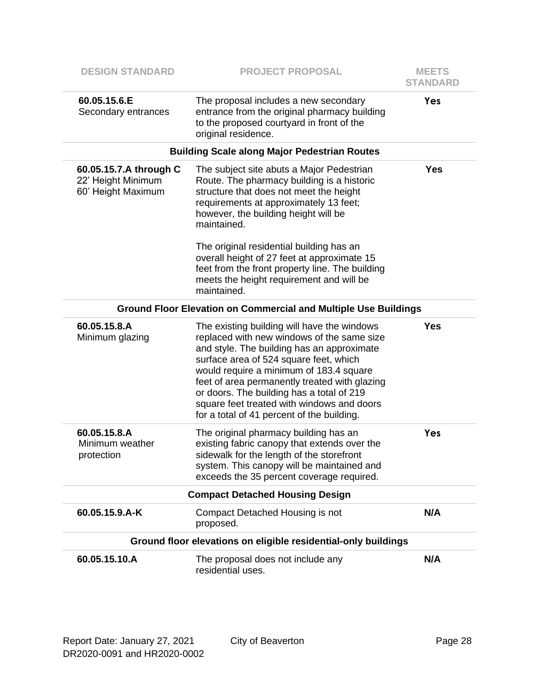| <b>DESIGN STANDARD</b>                                             | <b>PROJECT PROPOSAL</b>                                                                                                                                                                                                                                                                                                                                                                                                | <b>MEETS</b><br><b>STANDARD</b> |
|--------------------------------------------------------------------|------------------------------------------------------------------------------------------------------------------------------------------------------------------------------------------------------------------------------------------------------------------------------------------------------------------------------------------------------------------------------------------------------------------------|---------------------------------|
| 60.05.15.6.E<br>Secondary entrances                                | The proposal includes a new secondary<br>entrance from the original pharmacy building<br>to the proposed courtyard in front of the<br>original residence.                                                                                                                                                                                                                                                              | Yes                             |
|                                                                    | <b>Building Scale along Major Pedestrian Routes</b>                                                                                                                                                                                                                                                                                                                                                                    |                                 |
| 60.05.15.7.A through C<br>22' Height Minimum<br>60' Height Maximum | The subject site abuts a Major Pedestrian<br>Route. The pharmacy building is a historic<br>structure that does not meet the height<br>requirements at approximately 13 feet;<br>however, the building height will be<br>maintained.                                                                                                                                                                                    | <b>Yes</b>                      |
|                                                                    | The original residential building has an<br>overall height of 27 feet at approximate 15<br>feet from the front property line. The building<br>meets the height requirement and will be<br>maintained.                                                                                                                                                                                                                  |                                 |
|                                                                    | <b>Ground Floor Elevation on Commercial and Multiple Use Buildings</b>                                                                                                                                                                                                                                                                                                                                                 |                                 |
| 60.05.15.8.A<br>Minimum glazing                                    | The existing building will have the windows<br>replaced with new windows of the same size<br>and style. The building has an approximate<br>surface area of 524 square feet, which<br>would require a minimum of 183.4 square<br>feet of area permanently treated with glazing<br>or doors. The building has a total of 219<br>square feet treated with windows and doors<br>for a total of 41 percent of the building. | Yes                             |
| 60.05.15.8.A<br>Minimum weather<br>protection                      | The original pharmacy building has an<br>existing fabric canopy that extends over the<br>sidewalk for the length of the storefront<br>system. This canopy will be maintained and<br>exceeds the 35 percent coverage required.                                                                                                                                                                                          | Yes                             |
|                                                                    | <b>Compact Detached Housing Design</b>                                                                                                                                                                                                                                                                                                                                                                                 |                                 |
| 60.05.15.9.A-K                                                     | Compact Detached Housing is not<br>proposed.                                                                                                                                                                                                                                                                                                                                                                           | N/A                             |
|                                                                    | Ground floor elevations on eligible residential-only buildings                                                                                                                                                                                                                                                                                                                                                         |                                 |
| 60.05.15.10.A                                                      | The proposal does not include any<br>residential uses.                                                                                                                                                                                                                                                                                                                                                                 | N/A                             |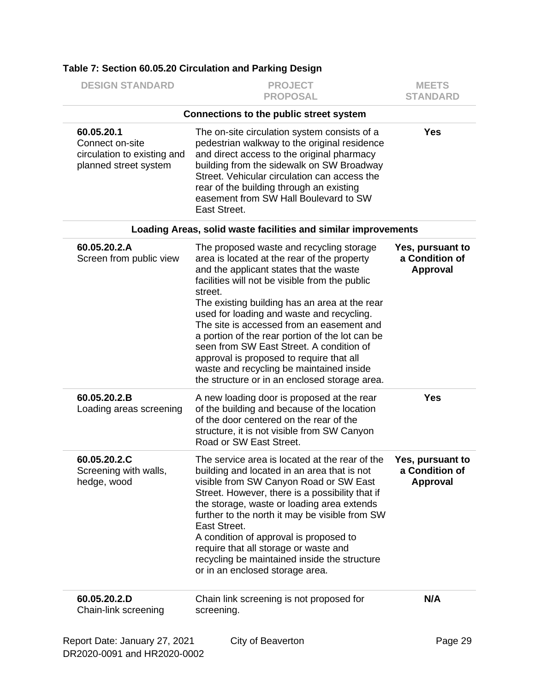| <b>DESIGN STANDARD</b>                                                                | <b>PROJECT</b><br><b>PROPOSAL</b>                                                                                                                                                                                                                                                                                                                                                                                                                                                                                                                                                  | <b>MEETS</b><br><b>STANDARD</b>                       |
|---------------------------------------------------------------------------------------|------------------------------------------------------------------------------------------------------------------------------------------------------------------------------------------------------------------------------------------------------------------------------------------------------------------------------------------------------------------------------------------------------------------------------------------------------------------------------------------------------------------------------------------------------------------------------------|-------------------------------------------------------|
|                                                                                       | Connections to the public street system                                                                                                                                                                                                                                                                                                                                                                                                                                                                                                                                            |                                                       |
| 60.05.20.1<br>Connect on-site<br>circulation to existing and<br>planned street system | The on-site circulation system consists of a<br>pedestrian walkway to the original residence<br>and direct access to the original pharmacy<br>building from the sidewalk on SW Broadway<br>Street. Vehicular circulation can access the<br>rear of the building through an existing<br>easement from SW Hall Boulevard to SW<br>East Street.                                                                                                                                                                                                                                       | <b>Yes</b>                                            |
|                                                                                       | Loading Areas, solid waste facilities and similar improvements                                                                                                                                                                                                                                                                                                                                                                                                                                                                                                                     |                                                       |
| 60.05.20.2.A<br>Screen from public view                                               | The proposed waste and recycling storage<br>area is located at the rear of the property<br>and the applicant states that the waste<br>facilities will not be visible from the public<br>street.<br>The existing building has an area at the rear<br>used for loading and waste and recycling.<br>The site is accessed from an easement and<br>a portion of the rear portion of the lot can be<br>seen from SW East Street. A condition of<br>approval is proposed to require that all<br>waste and recycling be maintained inside<br>the structure or in an enclosed storage area. | Yes, pursuant to<br>a Condition of<br><b>Approval</b> |
| 60.05.20.2.B<br>Loading areas screening                                               | A new loading door is proposed at the rear<br>of the building and because of the location<br>of the door centered on the rear of the<br>structure, it is not visible from SW Canyon<br>Road or SW East Street.                                                                                                                                                                                                                                                                                                                                                                     | <b>Yes</b>                                            |
| 60.05.20.2.C<br>Screening with walls,<br>hedge, wood                                  | The service area is located at the rear of the<br>building and located in an area that is not<br>visible from SW Canyon Road or SW East<br>Street. However, there is a possibility that if<br>the storage, waste or loading area extends<br>further to the north it may be visible from SW<br>East Street.<br>A condition of approval is proposed to<br>require that all storage or waste and<br>recycling be maintained inside the structure<br>or in an enclosed storage area.                                                                                                   | Yes, pursuant to<br>a Condition of<br><b>Approval</b> |
| 60.05.20.2.D<br>Chain-link screening                                                  | Chain link screening is not proposed for<br>screening.                                                                                                                                                                                                                                                                                                                                                                                                                                                                                                                             | N/A                                                   |
| Report Date: January 27, 2021                                                         | City of Beaverton                                                                                                                                                                                                                                                                                                                                                                                                                                                                                                                                                                  | Page 29                                               |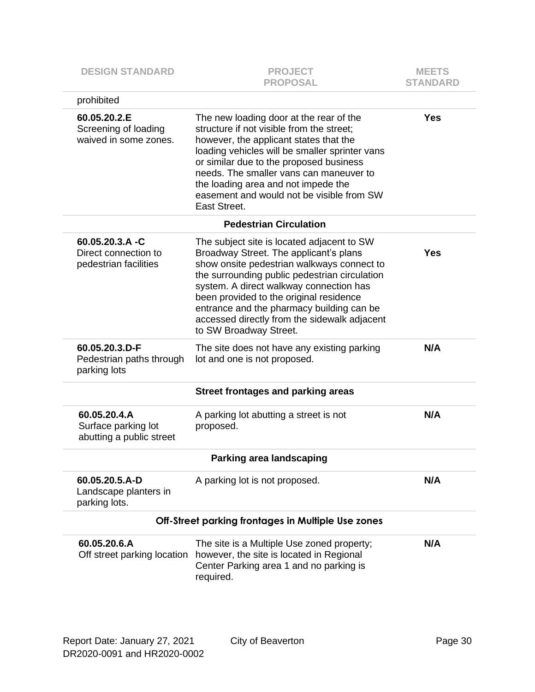| <b>DESIGN STANDARD</b>                                           | <b>PROJECT</b><br><b>PROPOSAL</b>                                                                                                                                                                                                                                                                                                                                                                | <b>MEETS</b><br><b>STANDARD</b> |
|------------------------------------------------------------------|--------------------------------------------------------------------------------------------------------------------------------------------------------------------------------------------------------------------------------------------------------------------------------------------------------------------------------------------------------------------------------------------------|---------------------------------|
| prohibited                                                       |                                                                                                                                                                                                                                                                                                                                                                                                  |                                 |
| 60.05.20.2.E<br>Screening of loading<br>waived in some zones.    | The new loading door at the rear of the<br>structure if not visible from the street;<br>however, the applicant states that the<br>loading vehicles will be smaller sprinter vans<br>or similar due to the proposed business<br>needs. The smaller vans can maneuver to<br>the loading area and not impede the<br>easement and would not be visible from SW<br>East Street.                       | <b>Yes</b>                      |
|                                                                  | <b>Pedestrian Circulation</b>                                                                                                                                                                                                                                                                                                                                                                    |                                 |
| 60.05.20.3.A -C<br>Direct connection to<br>pedestrian facilities | The subject site is located adjacent to SW<br>Broadway Street. The applicant's plans<br>show onsite pedestrian walkways connect to<br>the surrounding public pedestrian circulation<br>system. A direct walkway connection has<br>been provided to the original residence<br>entrance and the pharmacy building can be<br>accessed directly from the sidewalk adjacent<br>to SW Broadway Street. | <b>Yes</b>                      |
| 60.05.20.3.D-F<br>Pedestrian paths through<br>parking lots       | The site does not have any existing parking<br>lot and one is not proposed.                                                                                                                                                                                                                                                                                                                      | N/A                             |
|                                                                  | <b>Street frontages and parking areas</b>                                                                                                                                                                                                                                                                                                                                                        |                                 |
| 60.05.20.4.A<br>Surface parking lot<br>abutting a public street  | A parking lot abutting a street is not<br>proposed.                                                                                                                                                                                                                                                                                                                                              | N/A                             |
|                                                                  | <b>Parking area landscaping</b>                                                                                                                                                                                                                                                                                                                                                                  |                                 |
| 60.05.20.5.A-D<br>Landscape planters in<br>parking lots.         | A parking lot is not proposed.                                                                                                                                                                                                                                                                                                                                                                   | N/A                             |
|                                                                  | Off-Street parking frontages in Multiple Use zones                                                                                                                                                                                                                                                                                                                                               |                                 |
| 60.05.20.6.A<br>Off street parking location                      | The site is a Multiple Use zoned property;<br>however, the site is located in Regional<br>Center Parking area 1 and no parking is<br>required.                                                                                                                                                                                                                                                   | N/A                             |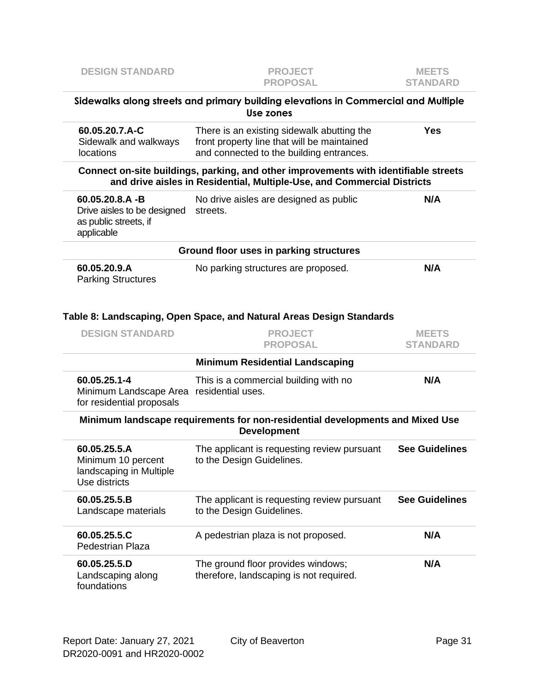| <b>DESIGN STANDARD</b>                                                                   | <b>PROJECT</b><br><b>PROPOSAL</b>                                                                                                                               | <b>MEETS</b><br><b>STANDARD</b> |
|------------------------------------------------------------------------------------------|-----------------------------------------------------------------------------------------------------------------------------------------------------------------|---------------------------------|
|                                                                                          | Sidewalks along streets and primary building elevations in Commercial and Multiple<br>Use zones                                                                 |                                 |
| 60.05.20.7.A-C<br>Sidewalk and walkways<br>locations                                     | There is an existing sidewalk abutting the<br>front property line that will be maintained<br>and connected to the building entrances.                           | <b>Yes</b>                      |
|                                                                                          | Connect on-site buildings, parking, and other improvements with identifiable streets<br>and drive aisles in Residential, Multiple-Use, and Commercial Districts |                                 |
| $60.05.20.8.A - B$<br>Drive aisles to be designed<br>as public streets, if<br>applicable | No drive aisles are designed as public<br>streets.                                                                                                              | N/A                             |
|                                                                                          | Ground floor uses in parking structures                                                                                                                         |                                 |
| 60.05.20.9.A<br><b>Parking Structures</b>                                                | No parking structures are proposed.                                                                                                                             | N/A                             |
|                                                                                          | Table 8: Landscaping, Open Space, and Natural Areas Design Standards                                                                                            |                                 |
| <b>DESIGN STANDARD</b>                                                                   | <b>PROJECT</b>                                                                                                                                                  | <b>MEETS</b>                    |
|                                                                                          | <b>PROPOSAL</b>                                                                                                                                                 | <b>STANDARD</b>                 |
|                                                                                          | <b>Minimum Residential Landscaping</b>                                                                                                                          |                                 |
| 60.05.25.1-4<br>Minimum Landscape Area residential uses.<br>for residential proposals    | This is a commercial building with no                                                                                                                           | N/A                             |
|                                                                                          | Minimum landscape requirements for non-residential developments and Mixed Use<br><b>Development</b>                                                             |                                 |
| 60.05.25.5.A<br>Minimum 10 percent<br>landscaping in Multiple<br>Use districts           | The applicant is requesting review pursuant<br>to the Design Guidelines.                                                                                        | <b>See Guidelines</b>           |
| 60.05.25.5.B<br>Landscape materials                                                      | The applicant is requesting review pursuant<br>to the Design Guidelines.                                                                                        | <b>See Guidelines</b>           |
| 60.05.25.5.C<br><b>Pedestrian Plaza</b>                                                  | A pedestrian plaza is not proposed.                                                                                                                             | N/A                             |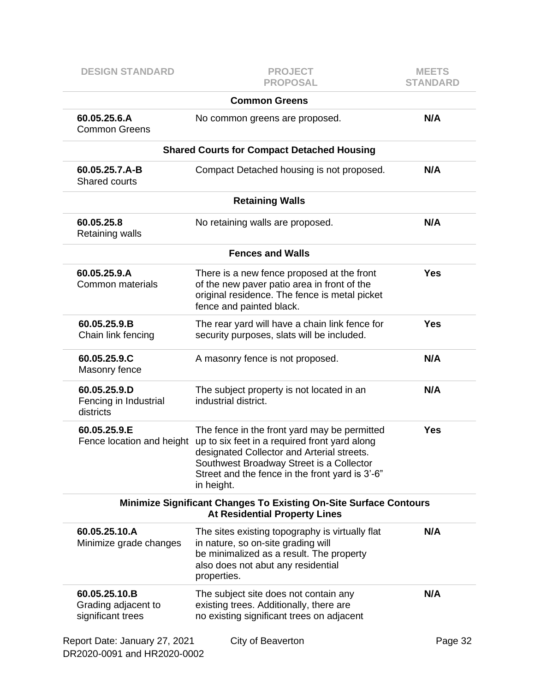| <b>DESIGN STANDARD</b>                                       | <b>PROJECT</b><br><b>PROPOSAL</b>                                                                                                                                                                                                                        | <b>MEETS</b><br><b>STANDARD</b> |
|--------------------------------------------------------------|----------------------------------------------------------------------------------------------------------------------------------------------------------------------------------------------------------------------------------------------------------|---------------------------------|
|                                                              | <b>Common Greens</b>                                                                                                                                                                                                                                     |                                 |
| 60.05.25.6.A<br><b>Common Greens</b>                         | No common greens are proposed.                                                                                                                                                                                                                           | N/A                             |
|                                                              | <b>Shared Courts for Compact Detached Housing</b>                                                                                                                                                                                                        |                                 |
| 60.05.25.7.A-B<br><b>Shared courts</b>                       | Compact Detached housing is not proposed.                                                                                                                                                                                                                | N/A                             |
|                                                              | <b>Retaining Walls</b>                                                                                                                                                                                                                                   |                                 |
| 60.05.25.8<br>Retaining walls                                | No retaining walls are proposed.                                                                                                                                                                                                                         | N/A                             |
|                                                              | <b>Fences and Walls</b>                                                                                                                                                                                                                                  |                                 |
| 60.05.25.9.A<br>Common materials                             | There is a new fence proposed at the front<br>of the new paver patio area in front of the<br>original residence. The fence is metal picket<br>fence and painted black.                                                                                   | <b>Yes</b>                      |
| 60.05.25.9.B<br>Chain link fencing                           | The rear yard will have a chain link fence for<br>security purposes, slats will be included.                                                                                                                                                             | <b>Yes</b>                      |
| 60.05.25.9.C<br>Masonry fence                                | A masonry fence is not proposed.                                                                                                                                                                                                                         | N/A                             |
| 60.05.25.9.D<br>Fencing in Industrial<br>districts           | The subject property is not located in an<br>industrial district.                                                                                                                                                                                        | N/A                             |
| 60.05.25.9.E<br>Fence location and height                    | The fence in the front yard may be permitted<br>up to six feet in a required front yard along<br>designated Collector and Arterial streets.<br>Southwest Broadway Street is a Collector<br>Street and the fence in the front yard is 3'-6"<br>in height. | <b>Yes</b>                      |
|                                                              | <b>Minimize Significant Changes To Existing On-Site Surface Contours</b><br><b>At Residential Property Lines</b>                                                                                                                                         |                                 |
| 60.05.25.10.A<br>Minimize grade changes                      | The sites existing topography is virtually flat<br>in nature, so on-site grading will<br>be minimalized as a result. The property<br>also does not abut any residential<br>properties.                                                                   | N/A                             |
| 60.05.25.10.B<br>Grading adjacent to<br>significant trees    | The subject site does not contain any<br>existing trees. Additionally, there are<br>no existing significant trees on adjacent                                                                                                                            | N/A                             |
| Report Date: January 27, 2021<br>DR2020-0091 and HR2020-0002 | City of Beaverton                                                                                                                                                                                                                                        | Page 32                         |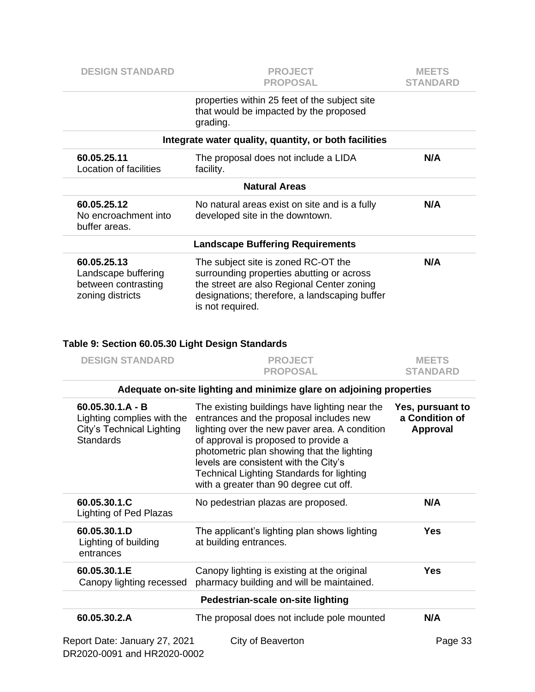| <b>DESIGN STANDARD</b>                                                        | <b>PROJECT</b><br><b>PROPOSAL</b>                                                                                                                                                                   | <b>MEETS</b><br><b>STANDARD</b> |  |  |  |
|-------------------------------------------------------------------------------|-----------------------------------------------------------------------------------------------------------------------------------------------------------------------------------------------------|---------------------------------|--|--|--|
|                                                                               | properties within 25 feet of the subject site<br>that would be impacted by the proposed<br>grading.                                                                                                 |                                 |  |  |  |
|                                                                               | Integrate water quality, quantity, or both facilities                                                                                                                                               |                                 |  |  |  |
| 60.05.25.11<br>Location of facilities                                         | The proposal does not include a LIDA<br>facility.                                                                                                                                                   | N/A                             |  |  |  |
|                                                                               | <b>Natural Areas</b>                                                                                                                                                                                |                                 |  |  |  |
| 60.05.25.12<br>No encroachment into<br>buffer areas.                          | No natural areas exist on site and is a fully<br>developed site in the downtown.                                                                                                                    | N/A                             |  |  |  |
|                                                                               | <b>Landscape Buffering Requirements</b>                                                                                                                                                             |                                 |  |  |  |
| 60.05.25.13<br>Landscape buffering<br>between contrasting<br>zoning districts | The subject site is zoned RC-OT the<br>surrounding properties abutting or across<br>the street are also Regional Center zoning<br>designations; therefore, a landscaping buffer<br>is not required. | N/A                             |  |  |  |

## **Table 9: Section 60.05.30 Light Design Standards**

| <b>DESIGN STANDARD</b>                                                                            | <b>PROJECT</b><br><b>PROPOSAL</b>                                                                                                                                                                                                                                                                                                                               | <b>MEETS</b><br><b>STANDARD</b>                |
|---------------------------------------------------------------------------------------------------|-----------------------------------------------------------------------------------------------------------------------------------------------------------------------------------------------------------------------------------------------------------------------------------------------------------------------------------------------------------------|------------------------------------------------|
|                                                                                                   | Adequate on-site lighting and minimize glare on adjoining properties                                                                                                                                                                                                                                                                                            |                                                |
| $60.05.30.1.A - B$<br>Lighting complies with the<br>City's Technical Lighting<br><b>Standards</b> | The existing buildings have lighting near the<br>entrances and the proposal includes new<br>lighting over the new paver area. A condition<br>of approval is proposed to provide a<br>photometric plan showing that the lighting<br>levels are consistent with the City's<br>Technical Lighting Standards for lighting<br>with a greater than 90 degree cut off. | Yes, pursuant to<br>a Condition of<br>Approval |
| 60.05.30.1.C<br>Lighting of Ped Plazas                                                            | No pedestrian plazas are proposed.                                                                                                                                                                                                                                                                                                                              | N/A                                            |
| 60.05.30.1.D<br>Lighting of building<br>entrances                                                 | The applicant's lighting plan shows lighting<br>at building entrances.                                                                                                                                                                                                                                                                                          | Yes                                            |
| 60.05.30.1.E<br>Canopy lighting recessed                                                          | Canopy lighting is existing at the original<br>pharmacy building and will be maintained.                                                                                                                                                                                                                                                                        | Yes                                            |
|                                                                                                   | Pedestrian-scale on-site lighting                                                                                                                                                                                                                                                                                                                               |                                                |
| 60.05.30.2.A                                                                                      | The proposal does not include pole mounted                                                                                                                                                                                                                                                                                                                      | N/A                                            |
| Report Date: January 27, 2021<br>DR2020-0091 and HR2020-0002                                      | City of Beaverton                                                                                                                                                                                                                                                                                                                                               | Page 33                                        |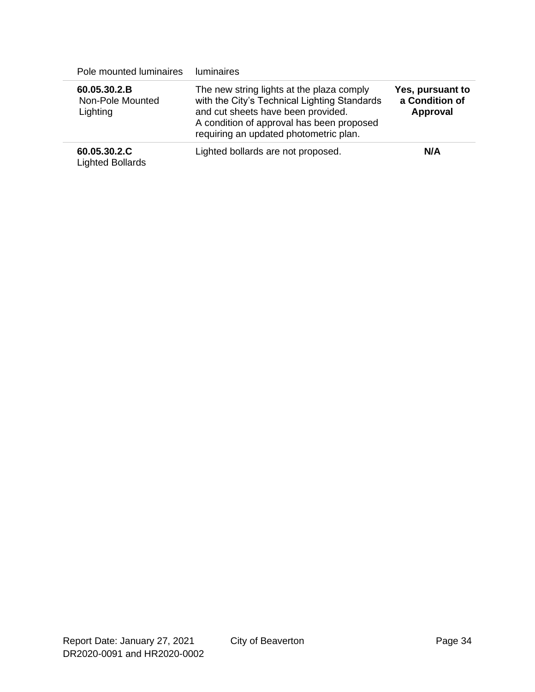| Pole mounted luminaires                      | <b>luminaires</b>                                                                                                                                                                                                      |                                                |
|----------------------------------------------|------------------------------------------------------------------------------------------------------------------------------------------------------------------------------------------------------------------------|------------------------------------------------|
| 60.05.30.2.B<br>Non-Pole Mounted<br>Lighting | The new string lights at the plaza comply<br>with the City's Technical Lighting Standards<br>and cut sheets have been provided.<br>A condition of approval has been proposed<br>requiring an updated photometric plan. | Yes, pursuant to<br>a Condition of<br>Approval |
| 60.05.30.2.C<br><b>Lighted Bollards</b>      | Lighted bollards are not proposed.                                                                                                                                                                                     | N/A                                            |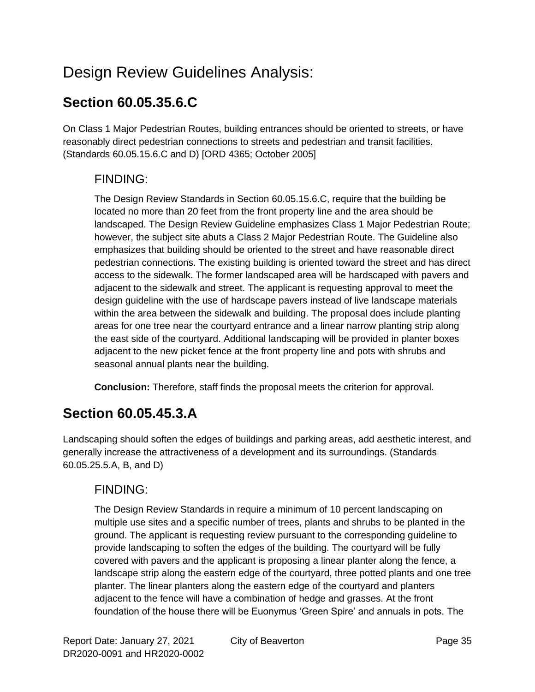# Design Review Guidelines Analysis:

## **Section 60.05.35.6.C**

On Class 1 Major Pedestrian Routes, building entrances should be oriented to streets, or have reasonably direct pedestrian connections to streets and pedestrian and transit facilities. (Standards 60.05.15.6.C and D) [ORD 4365; October 2005]

#### FINDING:

The Design Review Standards in Section 60.05.15.6.C, require that the building be located no more than 20 feet from the front property line and the area should be landscaped. The Design Review Guideline emphasizes Class 1 Major Pedestrian Route; however, the subject site abuts a Class 2 Major Pedestrian Route. The Guideline also emphasizes that building should be oriented to the street and have reasonable direct pedestrian connections. The existing building is oriented toward the street and has direct access to the sidewalk. The former landscaped area will be hardscaped with pavers and adjacent to the sidewalk and street. The applicant is requesting approval to meet the design guideline with the use of hardscape pavers instead of live landscape materials within the area between the sidewalk and building. The proposal does include planting areas for one tree near the courtyard entrance and a linear narrow planting strip along the east side of the courtyard. Additional landscaping will be provided in planter boxes adjacent to the new picket fence at the front property line and pots with shrubs and seasonal annual plants near the building.

**Conclusion:** Therefore, staff finds the proposal meets the criterion for approval.

## **Section 60.05.45.3.A**

Landscaping should soften the edges of buildings and parking areas, add aesthetic interest, and generally increase the attractiveness of a development and its surroundings. (Standards 60.05.25.5.A, B, and D)

#### FINDING:

The Design Review Standards in require a minimum of 10 percent landscaping on multiple use sites and a specific number of trees, plants and shrubs to be planted in the ground. The applicant is requesting review pursuant to the corresponding guideline to provide landscaping to soften the edges of the building. The courtyard will be fully covered with pavers and the applicant is proposing a linear planter along the fence, a landscape strip along the eastern edge of the courtyard, three potted plants and one tree planter. The linear planters along the eastern edge of the courtyard and planters adjacent to the fence will have a combination of hedge and grasses. At the front foundation of the house there will be Euonymus 'Green Spire' and annuals in pots. The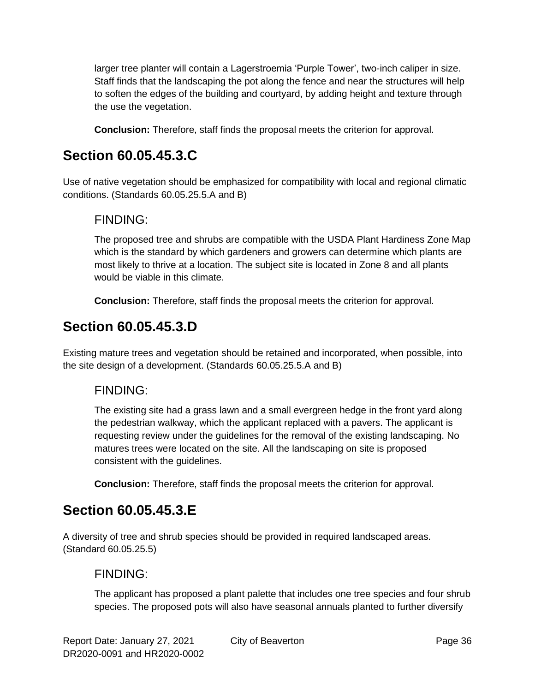larger tree planter will contain a Lagerstroemia 'Purple Tower', two-inch caliper in size. Staff finds that the landscaping the pot along the fence and near the structures will help to soften the edges of the building and courtyard, by adding height and texture through the use the vegetation.

**Conclusion:** Therefore, staff finds the proposal meets the criterion for approval.

## **Section 60.05.45.3.C**

Use of native vegetation should be emphasized for compatibility with local and regional climatic conditions. (Standards 60.05.25.5.A and B)

#### FINDING:

The proposed tree and shrubs are compatible with the USDA Plant Hardiness Zone Map which is the standard by which gardeners and growers can determine which plants are most likely to thrive at a location. The subject site is located in Zone 8 and all plants would be viable in this climate.

**Conclusion:** Therefore, staff finds the proposal meets the criterion for approval.

## **Section 60.05.45.3.D**

Existing mature trees and vegetation should be retained and incorporated, when possible, into the site design of a development. (Standards 60.05.25.5.A and B)

#### FINDING:

The existing site had a grass lawn and a small evergreen hedge in the front yard along the pedestrian walkway, which the applicant replaced with a pavers. The applicant is requesting review under the guidelines for the removal of the existing landscaping. No matures trees were located on the site. All the landscaping on site is proposed consistent with the guidelines.

**Conclusion:** Therefore, staff finds the proposal meets the criterion for approval.

## **Section 60.05.45.3.E**

A diversity of tree and shrub species should be provided in required landscaped areas. (Standard [60.05.25.](http://online.encodeplus.com/regs/beaverton-or/doc-viewer.aspx?ajax=0&tocid=001.007.001.005)5)

#### FINDING:

The applicant has proposed a plant palette that includes one tree species and four shrub species. The proposed pots will also have seasonal annuals planted to further diversify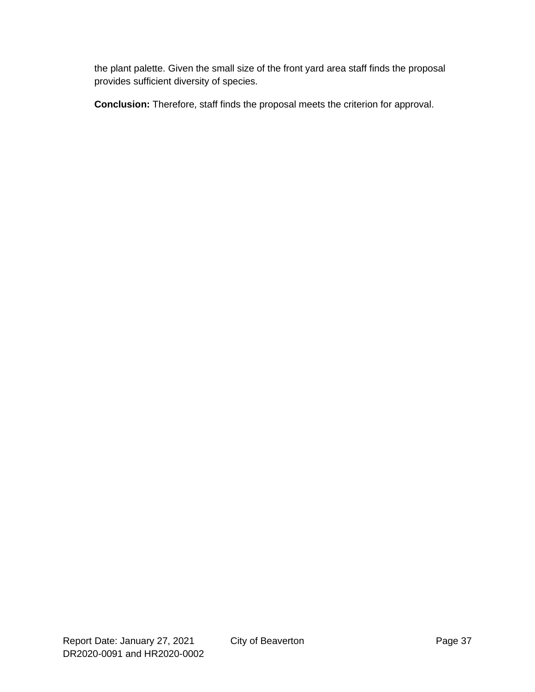the plant palette. Given the small size of the front yard area staff finds the proposal provides sufficient diversity of species.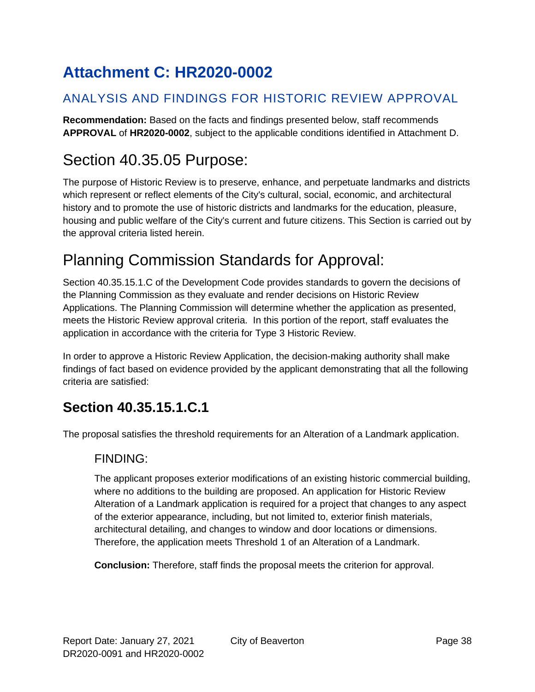# <span id="page-37-0"></span>**Attachment C: HR2020-0002**

#### ANALYSIS AND FINDINGS FOR HISTORIC REVIEW APPROVAL

**Recommendation:** Based on the facts and findings presented below, staff recommends **APPROVAL** of **HR2020-0002**, subject to the applicable conditions identified in Attachment D.

# Section 40.35.05 Purpose:

The purpose of Historic Review is to preserve, enhance, and perpetuate landmarks and districts which represent or reflect elements of the City's cultural, social, economic, and architectural history and to promote the use of historic districts and landmarks for the education, pleasure, housing and public welfare of the City's current and future citizens. This Section is carried out by the approval criteria listed herein.

# Planning Commission Standards for Approval:

Section 40.35.15.1.C of the Development Code provides standards to govern the decisions of the Planning Commission as they evaluate and render decisions on Historic Review Applications. The Planning Commission will determine whether the application as presented, meets the Historic Review approval criteria. In this portion of the report, staff evaluates the application in accordance with the criteria for Type 3 Historic Review.

In order to approve a Historic Review Application, the decision-making authority shall make findings of fact based on evidence provided by the applicant demonstrating that all the following criteria are satisfied:

## **Section 40.35.15.1.C.1**

The proposal satisfies the threshold requirements for an Alteration of a Landmark application.

#### FINDING:

The applicant proposes exterior modifications of an existing historic commercial building, where no additions to the building are proposed. An application for Historic Review Alteration of a Landmark application is required for a project that changes to any aspect of the exterior appearance, including, but not limited to, exterior finish materials, architectural detailing, and changes to window and door locations or dimensions. Therefore, the application meets Threshold 1 of an Alteration of a Landmark.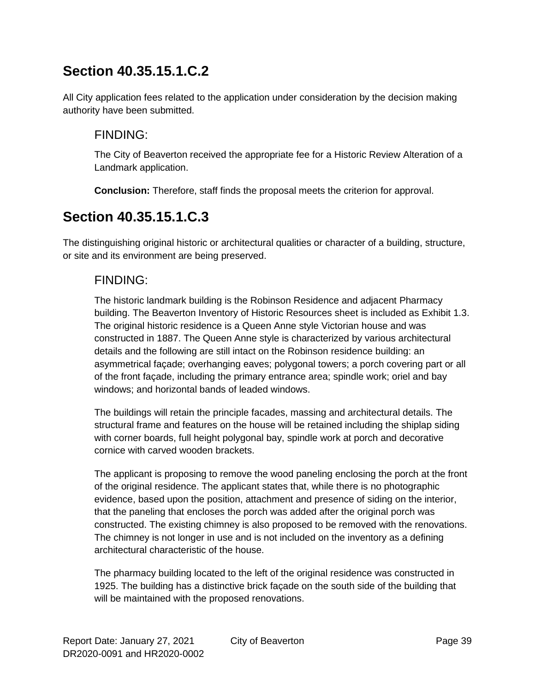All City application fees related to the application under consideration by the decision making authority have been submitted.

#### FINDING:

The City of Beaverton received the appropriate fee for a Historic Review Alteration of a Landmark application.

**Conclusion:** Therefore, staff finds the proposal meets the criterion for approval.

## **Section 40.35.15.1.C.3**

The distinguishing original historic or architectural qualities or character of a building, structure, or site and its environment are being preserved.

#### FINDING:

The historic landmark building is the Robinson Residence and adjacent Pharmacy building. The Beaverton Inventory of Historic Resources sheet is included as Exhibit 1.3. The original historic residence is a Queen Anne style Victorian house and was constructed in 1887. The Queen Anne style is characterized by various architectural details and the following are still intact on the Robinson residence building: an asymmetrical façade; overhanging eaves; polygonal towers; a porch covering part or all of the front façade, including the primary entrance area; spindle work; oriel and bay windows; and horizontal bands of leaded windows.

The buildings will retain the principle facades, massing and architectural details. The structural frame and features on the house will be retained including the shiplap siding with corner boards, full height polygonal bay, spindle work at porch and decorative cornice with carved wooden brackets.

The applicant is proposing to remove the wood paneling enclosing the porch at the front of the original residence. The applicant states that, while there is no photographic evidence, based upon the position, attachment and presence of siding on the interior, that the paneling that encloses the porch was added after the original porch was constructed. The existing chimney is also proposed to be removed with the renovations. The chimney is not longer in use and is not included on the inventory as a defining architectural characteristic of the house.

The pharmacy building located to the left of the original residence was constructed in 1925. The building has a distinctive brick façade on the south side of the building that will be maintained with the proposed renovations.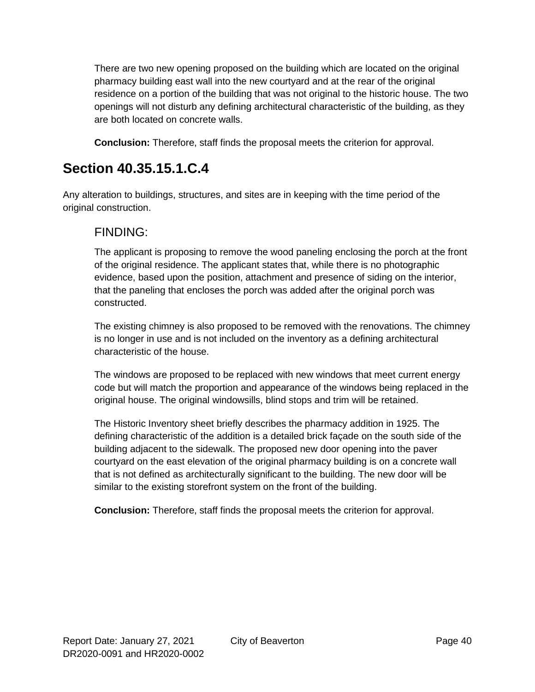There are two new opening proposed on the building which are located on the original pharmacy building east wall into the new courtyard and at the rear of the original residence on a portion of the building that was not original to the historic house. The two openings will not disturb any defining architectural characteristic of the building, as they are both located on concrete walls.

**Conclusion:** Therefore, staff finds the proposal meets the criterion for approval.

## **Section 40.35.15.1.C.4**

Any alteration to buildings, structures, and sites are in keeping with the time period of the original construction.

#### FINDING:

The applicant is proposing to remove the wood paneling enclosing the porch at the front of the original residence. The applicant states that, while there is no photographic evidence, based upon the position, attachment and presence of siding on the interior, that the paneling that encloses the porch was added after the original porch was constructed.

The existing chimney is also proposed to be removed with the renovations. The chimney is no longer in use and is not included on the inventory as a defining architectural characteristic of the house.

The windows are proposed to be replaced with new windows that meet current energy code but will match the proportion and appearance of the windows being replaced in the original house. The original windowsills, blind stops and trim will be retained.

The Historic Inventory sheet briefly describes the pharmacy addition in 1925. The defining characteristic of the addition is a detailed brick façade on the south side of the building adjacent to the sidewalk. The proposed new door opening into the paver courtyard on the east elevation of the original pharmacy building is on a concrete wall that is not defined as architecturally significant to the building. The new door will be similar to the existing storefront system on the front of the building.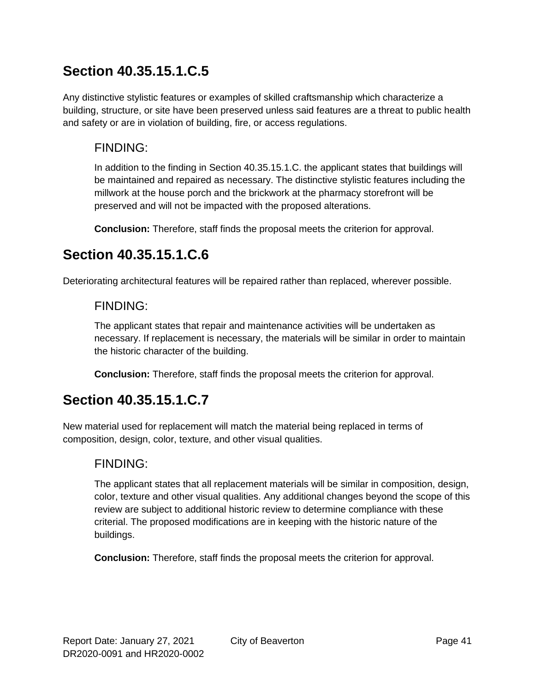Any distinctive stylistic features or examples of skilled craftsmanship which characterize a building, structure, or site have been preserved unless said features are a threat to public health and safety or are in violation of building, fire, or access regulations.

#### FINDING:

In addition to the finding in Section 40.35.15.1.C. the applicant states that buildings will be maintained and repaired as necessary. The distinctive stylistic features including the millwork at the house porch and the brickwork at the pharmacy storefront will be preserved and will not be impacted with the proposed alterations.

**Conclusion:** Therefore, staff finds the proposal meets the criterion for approval.

## **Section 40.35.15.1.C.6**

Deteriorating architectural features will be repaired rather than replaced, wherever possible.

#### FINDING:

The applicant states that repair and maintenance activities will be undertaken as necessary. If replacement is necessary, the materials will be similar in order to maintain the historic character of the building.

**Conclusion:** Therefore, staff finds the proposal meets the criterion for approval.

## **Section 40.35.15.1.C.7**

New material used for replacement will match the material being replaced in terms of composition, design, color, texture, and other visual qualities.

#### FINDING:

The applicant states that all replacement materials will be similar in composition, design, color, texture and other visual qualities. Any additional changes beyond the scope of this review are subject to additional historic review to determine compliance with these criterial. The proposed modifications are in keeping with the historic nature of the buildings.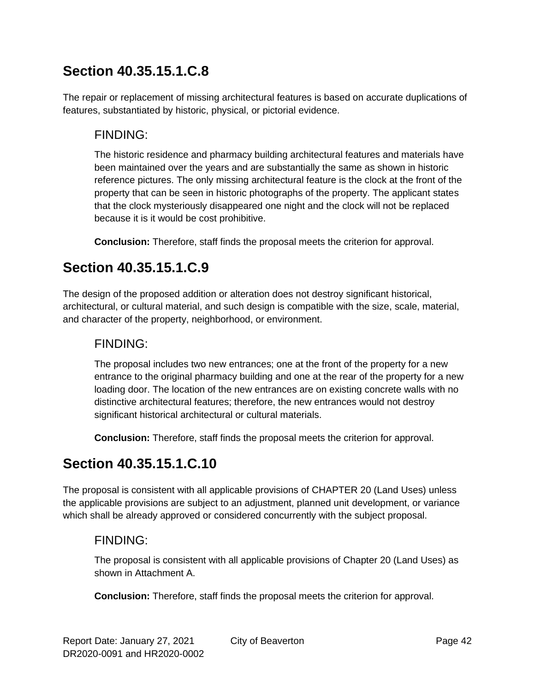The repair or replacement of missing architectural features is based on accurate duplications of features, substantiated by historic, physical, or pictorial evidence.

#### FINDING:

The historic residence and pharmacy building architectural features and materials have been maintained over the years and are substantially the same as shown in historic reference pictures. The only missing architectural feature is the clock at the front of the property that can be seen in historic photographs of the property. The applicant states that the clock mysteriously disappeared one night and the clock will not be replaced because it is it would be cost prohibitive.

**Conclusion:** Therefore, staff finds the proposal meets the criterion for approval.

## **Section 40.35.15.1.C.9**

The design of the proposed addition or alteration does not destroy significant historical, architectural, or cultural material, and such design is compatible with the size, scale, material, and character of the property, neighborhood, or environment.

#### FINDING:

The proposal includes two new entrances; one at the front of the property for a new entrance to the original pharmacy building and one at the rear of the property for a new loading door. The location of the new entrances are on existing concrete walls with no distinctive architectural features; therefore, the new entrances would not destroy significant historical architectural or cultural materials.

**Conclusion:** Therefore, staff finds the proposal meets the criterion for approval.

## **Section 40.35.15.1.C.10**

The proposal is consistent with all applicable provisions of CHAPTER 20 (Land Uses) unless the applicable provisions are subject to an adjustment, planned unit development, or variance which shall be already approved or considered concurrently with the subject proposal.

#### FINDING:

The proposal is consistent with all applicable provisions of Chapter 20 (Land Uses) as shown in Attachment A.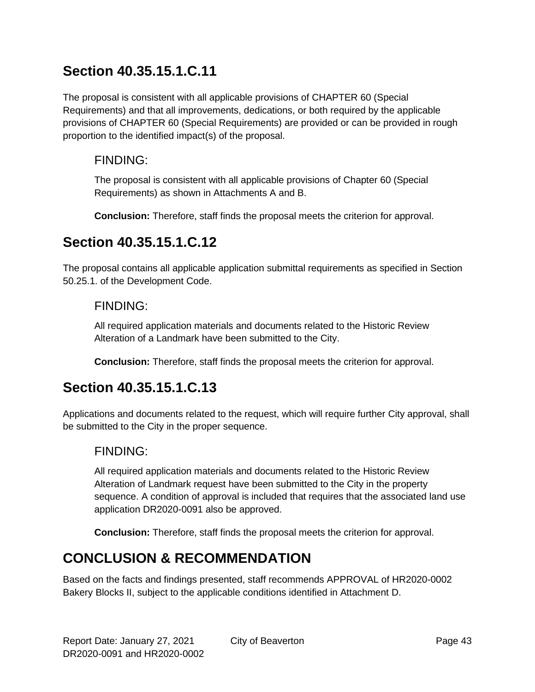The proposal is consistent with all applicable provisions of CHAPTER 60 (Special Requirements) and that all improvements, dedications, or both required by the applicable provisions of CHAPTER 60 (Special Requirements) are provided or can be provided in rough proportion to the identified impact(s) of the proposal.

#### FINDING:

The proposal is consistent with all applicable provisions of Chapter 60 (Special Requirements) as shown in Attachments A and B.

**Conclusion:** Therefore, staff finds the proposal meets the criterion for approval.

## **Section 40.35.15.1.C.12**

The proposal contains all applicable application submittal requirements as specified in Section 50.25.1. of the Development Code.

#### FINDING:

All required application materials and documents related to the Historic Review Alteration of a Landmark have been submitted to the City.

**Conclusion:** Therefore, staff finds the proposal meets the criterion for approval.

## **Section 40.35.15.1.C.13**

Applications and documents related to the request, which will require further City approval, shall be submitted to the City in the proper sequence.

#### FINDING:

All required application materials and documents related to the Historic Review Alteration of Landmark request have been submitted to the City in the property sequence. A condition of approval is included that requires that the associated land use application DR2020-0091 also be approved.

**Conclusion:** Therefore, staff finds the proposal meets the criterion for approval.

## **CONCLUSION & RECOMMENDATION**

Based on the facts and findings presented, staff recommends APPROVAL of HR2020-0002 Bakery Blocks II, subject to the applicable conditions identified in Attachment D.